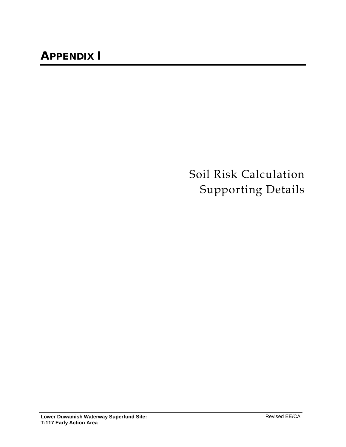Soil Risk Calculation Supporting Details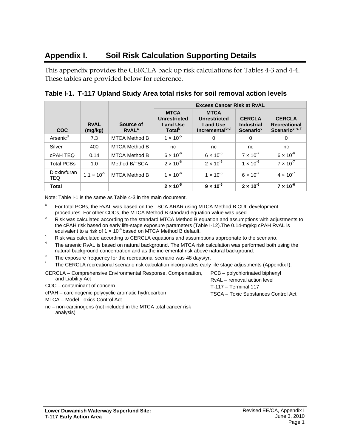# **Appendix I. Soil Risk Calculation Supporting Details**

This appendix provides the CERCLA back up risk calculations for Tables 4-3 and 4-4. These tables are provided below for reference.

|                            |                        |                                       | <b>Excess Cancer Risk at RyAL</b>                                           |                                                                                     |                                                             |                                                                     |  |
|----------------------------|------------------------|---------------------------------------|-----------------------------------------------------------------------------|-------------------------------------------------------------------------------------|-------------------------------------------------------------|---------------------------------------------------------------------|--|
| <b>COC</b>                 | <b>RvAL</b><br>(mg/kg) | Source of<br><b>RvAL</b> <sup>a</sup> | <b>MTCA</b><br><b>Unrestricted</b><br><b>Land Use</b><br>Total <sup>p</sup> | <b>MTCA</b><br><b>Unrestricted</b><br><b>Land Use</b><br>Incremental <sup>b,d</sup> | <b>CERCLA</b><br><b>Industrial</b><br>Scenario <sup>c</sup> | <b>CERCLA</b><br><b>Recreational</b><br>Scenario <sup>c, e, f</sup> |  |
| Arsenic <sup>d</sup>       | 7.3                    | <b>MTCA Method B</b>                  | $1 \times 10^{-5}$                                                          | 0                                                                                   | 0                                                           | 0                                                                   |  |
| Silver                     | 400                    | <b>MTCA Method B</b>                  | nc                                                                          | nc                                                                                  | nc                                                          | nc                                                                  |  |
| <b>CPAH TEQ</b>            | 0.14                   | <b>MTCA Method B</b>                  | $6 \times 10^{-6}$                                                          | $6 \times 10^{-6}$                                                                  | $7 \times 10^{-7}$                                          | $6 \times 10^{-6}$                                                  |  |
| <b>Total PCBs</b>          | 1.0                    | Method B/TSCA                         | $2 \times 10^{-6}$                                                          | $2 \times 10^{-6}$                                                                  | $1 \times 10^{-6}$                                          | $7 \times 10^{-7}$                                                  |  |
| Dioxin/furan<br><b>TEQ</b> | $1.1 \times 10^{-5}$   | <b>MTCA Method B</b>                  | $1 \times 10^{-6}$                                                          | $1 \times 10^{-6}$                                                                  | $6 \times 10^{-7}$                                          | $4 \times 10^{-7}$                                                  |  |
| <b>Total</b>               |                        |                                       | $2 \times 10^{-5}$                                                          | $9 \times 10^{-6}$                                                                  | $2 \times 10^{-6}$                                          | $7 \times 10^{-6}$                                                  |  |

**Table I-1. T-117 Upland Study Area total risks for soil removal action levels**

Note: Table I-1 is the same as Table 4-3 in the main document.

- <sup>a</sup> For total PCBs, the RvAL was based on the TSCA ARAR using MTCA Method B CUL development procedures. For other COCs, the MTCA Method B standard equation value was used.
- <sup>b</sup> Risk was calculated according to the standard MTCA Method B equation and assumptions with adjustments to the cPAH risk based on early life-stage exposure parameters (Table I-12). The 0.14-mg/kg cPAH RvAL is equivalent to a risk of 1  $\times$  10<sup>-6</sup> based on MTCA Method B default.
- <sup>c</sup> Risk was calculated according to CERCLA equations and assumptions appropriate to the scenario.
- The arsenic RvAL is based on natural background. The MTCA risk calculation was performed both using the natural background concentration and as the incremental risk above natural background.
- $e^e$  The exposure frequency for the recreational scenario was 48 days/yr.

The CERCLA recreational scenario risk calculation incorporates early life stage adjustments (Appendix I).

CERCLA – Comprehensive Environmental Response, Compensation, and Liability Act

COC – contaminant of concern

cPAH – carcinogenic polycyclic aromatic hydrocarbon

MTCA – Model Toxics Control Act

nc – non-carcinogens (not included in the MTCA total cancer risk analysis)

PCB – polychlorinated biphenyl RvAL – removal action level T-117 – Terminal 117 TSCA – Toxic Substances Control Act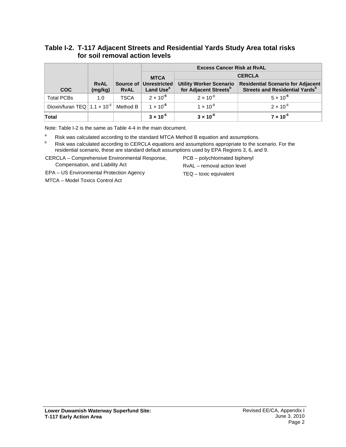## **Table I-2. T-117 Adjacent Streets and Residential Yards Study Area total risks for soil removal action levels**

|                                                |                        |             |                                                 | <b>Excess Cancer Risk at RyAL</b>                                   |                                                                                        |
|------------------------------------------------|------------------------|-------------|-------------------------------------------------|---------------------------------------------------------------------|----------------------------------------------------------------------------------------|
|                                                |                        |             | <b>MTCA</b>                                     |                                                                     | <b>CERCLA</b>                                                                          |
| <b>COC</b>                                     | <b>RvAL</b><br>(mg/kg) | <b>RvAL</b> | Source of Unrestricted<br>Land Use <sup>a</sup> | <b>Utility Worker Scenario</b><br>for Adjacent Streets <sup>b</sup> | <b>Residential Scenario for Adjacent</b><br>Streets and Residential Yards <sup>b</sup> |
| <b>Total PCBs</b>                              | 1.0                    | <b>TSCA</b> | $2 \times 10^{-6}$                              | $2 \times 10^{-8}$                                                  | $5 \times 10^{-6}$                                                                     |
| Dioxin/furan TEQ 1.1 $\times$ 10 <sup>-5</sup> |                        | Method B    | $1 \times 10^{-6}$                              | $1 \times 10^{-8}$                                                  | $2 \times 10^{-6}$                                                                     |
| Total                                          |                        |             | $3 \times 10^{-6}$                              | $3 \times 10^{-8}$                                                  | $7 \times 10^{-6}$                                                                     |

Note: Table I-2 is the same as Table 4-4 in the main document.

<sup>a</sup> Risk was calculated according to the standard MTCA Method B equation and assumptions.<br><sup>b</sup> Risk was calculated according to CERCLA equations and assumptions appropriate to the scenario. For the residential scenario, these are standard default assumptions used by EPA Regions 3, 6, and 9.

CERCLA – Comprehensive Environmental Response, Compensation, and Liability Act

PCB – polychlorinated biphenyl RvAL – removal action level

EPA – US Environmental Protection Agency

MTCA – Model Toxics Control Act

TEQ – toxic equivalent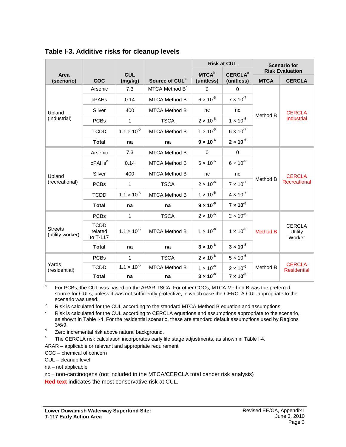|                                    |                                    |                      |                            | <b>Risk at CUL</b> |                           | <b>Scenario for</b> |                                           |  |
|------------------------------------|------------------------------------|----------------------|----------------------------|--------------------|---------------------------|---------------------|-------------------------------------------|--|
| Area                               |                                    | <b>CUL</b>           |                            | <b>MTCA</b> b      | <b>CERCLA<sup>c</sup></b> |                     | <b>Risk Evaluation</b>                    |  |
| (scenario)                         | <b>COC</b>                         | (mg/kg)              | Source of CUL <sup>a</sup> | (unitless)         | (unitless)                | <b>MTCA</b>         | <b>CERCLA</b>                             |  |
|                                    | Arsenic                            | 7.3                  | MTCA Method B <sup>d</sup> | $\Omega$           | $\mathbf 0$               |                     |                                           |  |
|                                    | cPAHs                              | 0.14                 | <b>MTCA Method B</b>       | $6 \times 10^{-6}$ | $7 \times 10^{-7}$        |                     |                                           |  |
| Upland                             | Silver                             | 400                  | <b>MTCA Method B</b>       | nc                 | nc                        |                     | <b>CERCLA</b>                             |  |
| (industrial)                       | <b>PCBs</b>                        | $\mathbf{1}$         | <b>TSCA</b>                | $2 \times 10^{-6}$ | $1 \times 10^{-6}$        | Method B            | Industrial                                |  |
|                                    | <b>TCDD</b>                        | $1.1 \times 10^{-5}$ | <b>MTCA Method B</b>       | $1 \times 10^{-6}$ | $6 \times 10^{-7}$        |                     |                                           |  |
|                                    | <b>Total</b>                       | na                   | na                         | $9 \times 10^{-6}$ | $2 \times 10^{-6}$        |                     |                                           |  |
|                                    | Arsenic                            | 7.3                  | <b>MTCA Method B</b>       | 0                  | 0                         |                     | <b>CERCLA</b><br>Method B<br>Recreational |  |
|                                    | cPAHs <sup>e</sup>                 | 0.14                 | <b>MTCA Method B</b>       | $6 \times 10^{-6}$ | $6 \times 10^{-6}$        |                     |                                           |  |
| Upland                             | Silver                             | 400                  | <b>MTCA Method B</b>       | nc                 | nc                        |                     |                                           |  |
| (recreational)                     | <b>PCBs</b>                        | $\mathbf{1}$         | <b>TSCA</b>                | $2 \times 10^{-6}$ | $7 \times 10^{-7}$        |                     |                                           |  |
|                                    | <b>TCDD</b>                        | $1.1 \times 10^{-5}$ | <b>MTCA Method B</b>       | $1 \times 10^{-6}$ | $4 \times 10^{-7}$        |                     |                                           |  |
|                                    | <b>Total</b>                       | na                   | na                         | $9 \times 10^{-6}$ | $7 \times 10^{-6}$        |                     |                                           |  |
|                                    | <b>PCBs</b>                        | 1                    | <b>TSCA</b>                | $2 \times 10^{-6}$ | $2 \times 10^{-8}$        |                     |                                           |  |
| <b>Streets</b><br>(utility worker) | <b>TCDD</b><br>related<br>to T-117 | $1.1 \times 10^{-5}$ | <b>MTCA Method B</b>       | $1 \times 10^{-6}$ | $1 \times 10^{-8}$        | <b>Method B</b>     | <b>CERCLA</b><br>Utility<br>Worker        |  |
|                                    | <b>Total</b>                       | na                   | na                         | $3 \times 10^{-6}$ | $3 \times 10^{-8}$        |                     |                                           |  |
|                                    | <b>PCBs</b>                        | $\mathbf{1}$         | <b>TSCA</b>                | $2 \times 10^{-6}$ | $5 \times 10^{-6}$        |                     |                                           |  |
| Yards<br>(residential)             | <b>TCDD</b>                        | $1.1 \times 10^{-5}$ | <b>MTCA Method B</b>       | $1 \times 10^{-6}$ | $2 \times 10^{-6}$        | Method B            | <b>CERCLA</b><br><b>Residential</b>       |  |
|                                    | <b>Total</b>                       | na                   | na                         | $3 \times 10^{-6}$ | $7 \times 10^{-6}$        |                     |                                           |  |

**Table I-3. Additive risks for cleanup levels**

<sup>a</sup> For PCBs, the CUL was based on the ARAR TSCA. For other COCs, MTCA Method B was the preferred source for CULs, unless it was not sufficiently protective, in which case the CERCLA CUL appropriate to the scenario was used.

b Risk is calculated for the CUL according to the standard MTCA Method B equation and assumptions.

Risk is calculated for the CUL according to CERCLA equations and assumptions appropriate to the scenario, as shown in Table I-4. For the residential scenario, these are standard default assumptions used by Regions 3/6/9.

 $\frac{d}{dx}$  Zero incremental risk above natural background.

The CERCLA risk calculation incorporates early life stage adjustments, as shown in Table I-4.

ARAR – applicable or relevant and appropriate requirement

COC – chemical of concern

CUL – cleanup level

na – not applicable

nc – non-carcinogens (not included in the MTCA/CERCLA total cancer risk analysis)

**Red text** indicates the most conservative risk at CUL.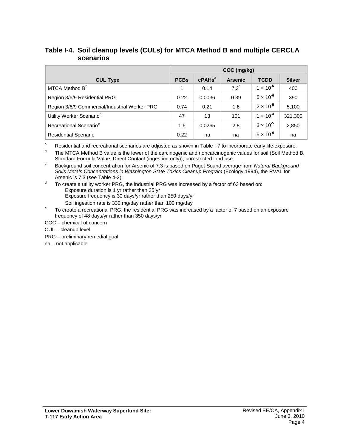## **Table I-4. Soil cleanup levels (CULs) for MTCA Method B and multiple CERCLA scenarios**

|                                               | COC (mg/kg) |                    |                |                    |               |  |
|-----------------------------------------------|-------------|--------------------|----------------|--------------------|---------------|--|
| <b>CUL Type</b>                               | <b>PCBs</b> | cPAHs <sup>a</sup> | <b>Arsenic</b> | <b>TCDD</b>        | <b>Silver</b> |  |
| MTCA Method B <sup>b</sup>                    |             | 0.14               | $7.3^{\circ}$  | $1 \times 10^{-5}$ | 400           |  |
| Region 3/6/9 Residential PRG                  | 0.22        | 0.0036             | 0.39           | $5 \times 10^{-6}$ | 390           |  |
| Region 3/6/9 Commercial/Industrial Worker PRG | 0.74        | 0.21               | 1.6            | $2 \times 10^{-5}$ | 5,100         |  |
| Utility Worker Scenario <sup>d</sup>          | 47          | 13                 | 101            | $1 \times 10^{-3}$ | 321,300       |  |
| Recreational Scenario <sup>e</sup>            | 1.6         | 0.0265             | 2.8            | $3 \times 10^{-5}$ | 2,850         |  |
| <b>Residential Scenario</b>                   | 0.22        | na                 | na             | $5 \times 10^{-6}$ | na            |  |

<sup>a</sup> Residential and recreational scenarios are adjusted as shown in Table I-7 to incorporate early life exposure.

The MTCA Method B value is the lower of the carcinogenic and noncarcinogenic values for soil (Soil Method B, Standard Formula Value, Direct Contact (ingestion only)), unrestricted land use.

<sup>c</sup> Background soil concentration for Arsenic of 7.3 is based on Puget Sound average from *Natural Background Soils Metals Concentrations in Washington State Toxics Cleanup Program* (Ecology 1994), the RVAL for Arsenic is 7.3 (see Table 4-2).

 $\sigma$  To create a utility worker PRG, the industrial PRG was increased by a factor of 63 based on: Exposure duration is 1 yr rather than 25 yr Exposure frequency is 30 days/yr rather than 250 days/yr

Soil ingestion rate is 330 mg/day rather than 100 mg/day

<sup>e</sup> To create a recreational PRG, the residential PRG was increased by a factor of 7 based on an exposure frequency of 48 days/yr rather than 350 days/yr

COC – chemical of concern

CUL – cleanup level

PRG – preliminary remedial goal

na – not applicable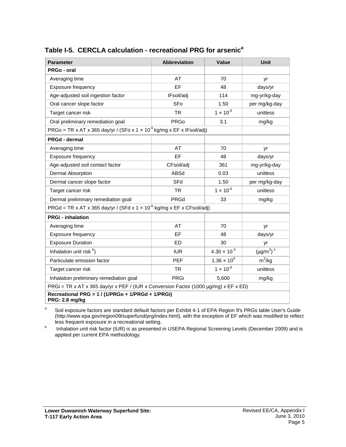| <b>Parameter</b>                                                                     | Abbreviation | Value                 | Unit               |  |
|--------------------------------------------------------------------------------------|--------------|-----------------------|--------------------|--|
| PRGo - oral                                                                          |              |                       |                    |  |
| Averaging time                                                                       | AT           | 70                    | yr                 |  |
| Exposure frequency                                                                   | EF           | 48                    | days/yr            |  |
| Age-adjusted soil ingestion factor                                                   | IFsoil/adj   | 114                   | mg-yr/kg-day       |  |
| Oral cancer slope factor                                                             | SFo          | 1.50                  | per mg/kg-day      |  |
| Target cancer risk                                                                   | <b>TR</b>    | $1 \times 10^{-6}$    | unitless           |  |
| Oral preliminary remediation goal                                                    | <b>PRGo</b>  | 3.1                   | mg/kg              |  |
| PRGo = TR x AT x 365 day/yr / (SFo x 1 x 10 <sup>-6</sup> kg/mg x EF x IFsoil/adj)   |              |                       |                    |  |
| PRGd - dermal                                                                        |              |                       |                    |  |
| Averaging time                                                                       | AT           | 70                    | yr                 |  |
| Exposure frequency                                                                   | EF           | 48                    | days/yr            |  |
| Age-adjusted soil contact factor                                                     | CFsoil/adj   | 361                   | mg-yr/kg-day       |  |
| <b>Dermal Absorption</b>                                                             | ABSd         | 0.03                  | unitless           |  |
| Dermal cancer slope factor                                                           | SFd          | 1.50                  | per mg/kg-day      |  |
| Target cancer risk                                                                   | <b>TR</b>    | $1 \times 10^{-6}$    | unitless           |  |
| Dermal preliminary remediation goal                                                  | PRGd         | 33                    | mg/kg              |  |
| PRGd = TR x AT x 365 day/yr / (SFd x 1 x 10 <sup>-6</sup> kg/mg x EF x CFsoil/adj)   |              |                       |                    |  |
| <b>PRGi - inhalation</b>                                                             |              |                       |                    |  |
| Averaging time                                                                       | AT           | 70                    | yr                 |  |
| Exposure frequency                                                                   | EF           | 48                    | days/yr            |  |
| <b>Exposure Duration</b>                                                             | <b>ED</b>    | 30                    | yr                 |  |
| Inhalation unit risk b)                                                              | <b>IUR</b>   | $4.30 \times 10^{-3}$ | $(\mu g/m^3)^{-1}$ |  |
| Particulate emission factor                                                          | <b>PEF</b>   | $1.36 \times 10^{9}$  | $m^3/kg$           |  |
| Target cancer risk                                                                   | <b>TR</b>    | $1 \times 10^{-6}$    | unitless           |  |
| Inhalation preliminary remediation goal                                              | <b>PRGi</b>  | 5,600                 | mg/kg              |  |
| PRGi = TR x AT x 365 day/yr x PEF / (IUR x Conversion Factor (1000 µg/mg) x EF x ED) |              |                       |                    |  |
| Recreational PRG = 1 / (1/PRGo + 1/PRGd + 1/PRGi)<br>PRG: 2.8 mg/kg                  |              |                       |                    |  |

## **Table I-5. CERCLA calculation - recreational PRG for arsenic<sup>a</sup>**

<sup>a</sup> Soil exposure factors are standard default factors per Exhibit 4-1 of EPA Region 9's PRGs table User's Guide (http://www.epa.gov/region09/superfund/prg/index.html), with the exception of EF which was modified to reflect less frequent exposure in a recreational setting.

**b** Inhalation unit risk factor (IUR) is as presented in USEPA Regional Screening Levels (December 2009) and is applied per current EPA methodology.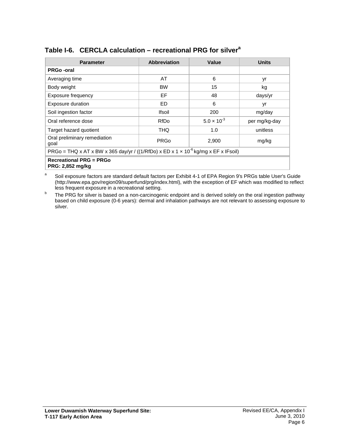| <b>Parameter</b>                                                                               | Abbreviation  | Value                | <b>Units</b>  |  |  |
|------------------------------------------------------------------------------------------------|---------------|----------------------|---------------|--|--|
| <b>PRGo-oral</b>                                                                               |               |                      |               |  |  |
| Averaging time                                                                                 | AT            | 6                    | yr            |  |  |
| Body weight                                                                                    | <b>BW</b>     | 15                   | kg            |  |  |
| Exposure frequency                                                                             | EF            | 48                   | days/yr       |  |  |
| Exposure duration                                                                              | ED            | 6                    | yr            |  |  |
| Soil ingestion factor                                                                          | <b>Ifsoil</b> | 200                  | mg/day        |  |  |
| Oral reference dose                                                                            | RfDo          | $5.0 \times 10^{-3}$ | per mg/kg-day |  |  |
| Target hazard quotient                                                                         | THQ           | 1.0                  | unitless      |  |  |
| Oral preliminary remediation<br>goal                                                           | <b>PRGo</b>   | 2,900                | mg/kg         |  |  |
| PRGo = THQ x AT x BW x 365 day/yr / ((1/RfDo) x ED x 1 x 10 <sup>-6</sup> kg/mg x EF x IFsoil) |               |                      |               |  |  |
| <b>Recreational PRG = PRGo</b><br><b>PRG: 2,852 mg/kg</b>                                      |               |                      |               |  |  |

## **Table I-6. CERCLA calculation – recreational PRG for silver<sup>a</sup>**

<sup>a</sup> Soil exposure factors are standard default factors per Exhibit 4-1 of EPA Region 9's PRGs table User's Guide (http://www.epa.gov/region09/superfund/prg/index.html), with the exception of EF which was modified to reflect less frequent exposure in a recreational setting.

<sup>b</sup> The PRG for silver is based on a non-carcinogenic endpoint and is derived solely on the oral ingestion pathway based on child exposure (0-6 years): dermal and inhalation pathways are not relevant to assessing exposure to silver.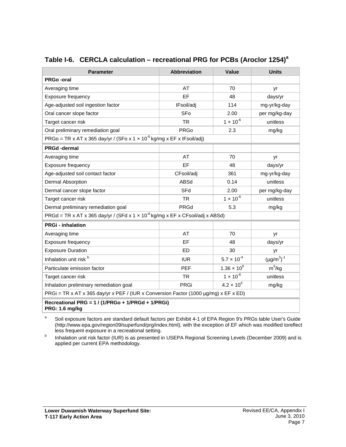| <b>Parameter</b>                                                                                              | <b>Abbreviation</b> | Value                | <b>Units</b>       |  |  |  |
|---------------------------------------------------------------------------------------------------------------|---------------------|----------------------|--------------------|--|--|--|
| <b>PRGo-oral</b>                                                                                              |                     |                      |                    |  |  |  |
| Averaging time                                                                                                | AT                  | 70                   | yr                 |  |  |  |
| Exposure frequency                                                                                            | EF                  | 48                   | days/yr            |  |  |  |
| Age-adjusted soil ingestion factor                                                                            | IFsoil/adj          | 114                  | mg-yr/kg-day       |  |  |  |
| Oral cancer slope factor                                                                                      | SFo                 | 2.00                 | per mg/kg-day      |  |  |  |
| Target cancer risk                                                                                            | <b>TR</b>           | $1 \times 10^{-6}$   | unitless           |  |  |  |
| Oral preliminary remediation goal                                                                             | <b>PRGo</b>         | 2.3                  | mg/kg              |  |  |  |
| PRGo = TR x AT x 365 day/yr / (SFo x 1 x 10 <sup>-6</sup> kg/mg x EF x IFsoil/adj)                            |                     |                      |                    |  |  |  |
| <b>PRGd-dermal</b>                                                                                            |                     |                      |                    |  |  |  |
| Averaging time                                                                                                | AT                  | 70                   | yr                 |  |  |  |
| Exposure frequency                                                                                            | EF                  | 48                   | days/yr            |  |  |  |
| Age-adjusted soil contact factor                                                                              | CFsoil/adj          | 361                  | mg-yr/kg-day       |  |  |  |
| <b>Dermal Absorption</b>                                                                                      | ABSd                | 0.14                 | unitless           |  |  |  |
| Dermal cancer slope factor                                                                                    | SFd                 | 2.00                 | per mg/kg-day      |  |  |  |
| Target cancer risk                                                                                            | <b>TR</b>           | $1 \times 10^{-6}$   | unitless           |  |  |  |
| Dermal preliminary remediation goal                                                                           | PRGd                | 5.3                  | mg/kg              |  |  |  |
| $PRGd = TR \times AT \times 365 \text{ day/yr}$ / (SFd x 1 x 10 <sup>-6</sup> kg/mg x EF x CFsoil/adj x ABSd) |                     |                      |                    |  |  |  |
| <b>PRGi - inhalation</b>                                                                                      |                     |                      |                    |  |  |  |
| Averaging time                                                                                                | AT                  | 70                   | yr                 |  |  |  |
| Exposure frequency                                                                                            | EF                  | 48                   | days/yr            |  |  |  |
| <b>Exposure Duration</b>                                                                                      | <b>ED</b>           | 30                   | yr                 |  |  |  |
| Inhalation unit risk b                                                                                        | <b>IUR</b>          | $5.7 \times 10^{-4}$ | $(\mu g/m^3)^{-1}$ |  |  |  |
| Particulate emission factor                                                                                   | <b>PEF</b>          | $1.36 \times 10^{9}$ | $m^3/kg$           |  |  |  |
| Target cancer risk                                                                                            | <b>TR</b>           | $1 \times 10^{-6}$   | unitless           |  |  |  |
| Inhalation preliminary remediation goal                                                                       | <b>PRGi</b>         | $4.2 \times 10^{4}$  | mg/kg              |  |  |  |
| PRGi = TR x AT x 365 day/yr x PEF / (IUR x Conversion Factor (1000 µg/mg) x EF x ED)                          |                     |                      |                    |  |  |  |
| Recreational PRG = 1 / (1/PRGo + 1/PRGd + 1/PRGi)<br>PRG: 1.6 mg/kg                                           |                     |                      |                    |  |  |  |

## **Table I-6. CERCLA calculation – recreational PRG for PCBs (Aroclor 1254)a**

<sup>a</sup> Soil exposure factors are standard default factors per Exhibit 4-1 of EPA Region 9's PRGs table User's Guide (http://www.epa.gov/region09/superfund/prg/index.html), with the exception of EF which was modified toreflect less frequent exposure in a recreational setting.

**b** Inhalation unit risk factor (IUR) is as presented in USEPA Regional Screening Levels (December 2009) and is applied per current EPA methodology.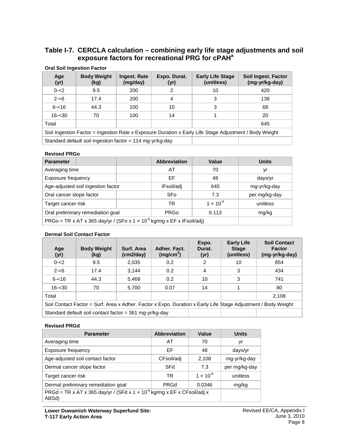## **Table I-7. CERCLA calculation – combining early life stage adjustments and soil exposure factors for recreational PRG for cPAHa**

| Age<br>(yr)                                                                                            | <b>Body Weight</b><br>(kg)                                  | <b>Ingest. Rate</b><br>(mg/day) | Expo. Durat.<br>(yr) | <b>Early Life Stage</b><br>(unitless) | Soil Ingest. Factor<br>(mg-yr/kg-day) |  |
|--------------------------------------------------------------------------------------------------------|-------------------------------------------------------------|---------------------------------|----------------------|---------------------------------------|---------------------------------------|--|
| $0 - 2$                                                                                                | 9.5                                                         | 200                             | 2                    | 10                                    | 420                                   |  |
| $2 - 6$                                                                                                | 17.4                                                        | 200                             | 4                    | 3                                     | 138                                   |  |
| $6 - 16$                                                                                               | 44.3                                                        | 100                             | 10                   | 3                                     | 68                                    |  |
| $16 - 30$                                                                                              | 70                                                          | 100                             | 14                   |                                       | 20                                    |  |
| Total                                                                                                  |                                                             |                                 |                      |                                       | 645                                   |  |
| Soil Ingestion Factor = Ingestion Rate x Exposure Duration x Early Life Stage Adjustment / Body Weight |                                                             |                                 |                      |                                       |                                       |  |
|                                                                                                        | Standard default soil ingestion factor = $114$ mg-yr/kg-day |                                 |                      |                                       |                                       |  |

#### **Oral Soil Ingestion Factor**

#### **Revised PRGo**

| <b>Parameter</b>                                                                   | <b>Abbreviation</b> | Value              | <b>Units</b>  |
|------------------------------------------------------------------------------------|---------------------|--------------------|---------------|
| Averaging time                                                                     | AT                  | 70                 | yr            |
| Exposure frequency                                                                 | ΕF                  | 48                 | days/yr       |
| Age-adjusted soil ingestion factor                                                 | IFsoil/adj          | 645                | mg-yr/kg-day  |
| Oral cancer slope factor                                                           | SFo                 | 7.3                | per mg/kg-day |
| Target cancer risk                                                                 | TR                  | $1 \times 10^{-6}$ | unitless      |
| Oral preliminary remediation goal                                                  | <b>PRGo</b>         | 0.113              | mg/kg         |
| PRGo = TR x AT x 365 day/yr / (SFo x 1 x 10 <sup>-6</sup> kg/mg x EF x IFsoil/adj) |                     |                    |               |

#### **Dermal Soil Contact Factor**

| Age<br>(yr)                                                                                                   | <b>Body Weight</b><br>(kg)                              | Surf. Area<br>(cm2/day) | Adher. Fact.<br>(mg/cm <sup>2</sup> ) | Expo.<br>Durat.<br>(yr) | <b>Early Life</b><br><b>Stage</b><br>(unitless) | <b>Soil Contact</b><br><b>Factor</b><br>(mg-yr/kg-day) |
|---------------------------------------------------------------------------------------------------------------|---------------------------------------------------------|-------------------------|---------------------------------------|-------------------------|-------------------------------------------------|--------------------------------------------------------|
| $0 - 2$                                                                                                       | 9.5                                                     | 2,035                   | 0.2                                   | 2                       | 10                                              | 854                                                    |
| $2 - 6$                                                                                                       | 17.4                                                    | 3,144                   | 0.2                                   | 4                       | 3                                               | 434                                                    |
| $6 - 16$                                                                                                      | 44.3                                                    | 5,468                   | 0.2                                   | 10                      | 3                                               | 741                                                    |
| $16 - 30$                                                                                                     | 70                                                      | 5,700                   | 0.07                                  | 14                      |                                                 | 80                                                     |
| Total                                                                                                         |                                                         |                         |                                       |                         |                                                 | 2,108                                                  |
| Soil Contact Factor = Surf. Area x Adher. Factor x Expo. Duration x Early Life Stage Adjustment / Body Weight |                                                         |                         |                                       |                         |                                                 |                                                        |
|                                                                                                               | Standard default soil contact factor = 361 mg-yr/kg-day |                         |                                       |                         |                                                 |                                                        |

#### **Revised PRGd**

| <b>Parameter</b>                                                                             | <b>Abbreviation</b> | Value              | <b>Units</b>  |
|----------------------------------------------------------------------------------------------|---------------------|--------------------|---------------|
| Averaging time                                                                               | AT                  | 70                 | yr            |
| Exposure frequency                                                                           | EF                  | 48                 | days/yr       |
| Age-adjusted soil contact factor                                                             | CFsoil/adj          | 2,108              | mg-yr/kg-day  |
| Dermal cancer slope factor                                                                   | SFd                 | 7.3                | per mg/kg-day |
| Target cancer risk                                                                           | TR                  | $1 \times 10^{-6}$ | unitless      |
| Dermal preliminary remediation goal                                                          | <b>PRGd</b>         | 0.0346             | mg/kg         |
| PRGd = TR x AT x 365 day/yr / (SFd x 1 x 10 <sup>-6</sup> kg/mg x EF x CFsoil/adj x<br>ABSd) |                     |                    |               |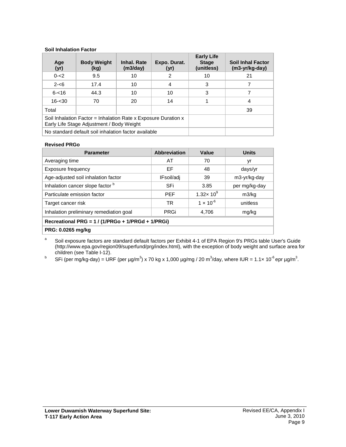#### **Soil Inhalation Factor**

| Age<br>(yr) | <b>Body Weight</b><br>(kg)                                                                                  | Inhal. Rate<br>(m3/day) | Expo. Durat.<br>(yr) | <b>Early Life</b><br><b>Stage</b><br>(unitless) | <b>Soil Inhal Factor</b><br>$(m3-yr/kg-day)$ |
|-------------|-------------------------------------------------------------------------------------------------------------|-------------------------|----------------------|-------------------------------------------------|----------------------------------------------|
| $0 - 2$     | 9.5                                                                                                         | 10                      | 2                    | 10                                              | 21                                           |
| $2 - 6$     | 17.4                                                                                                        | 10                      | 4                    | 3                                               |                                              |
| $6 - 16$    | 44.3                                                                                                        | 10                      | 10                   | 3                                               |                                              |
| $16 - 30$   | 70                                                                                                          | 20                      | 14                   |                                                 | 4                                            |
| Total       |                                                                                                             |                         | 39                   |                                                 |                                              |
|             | Soil Inhalation Factor = Inhalation Rate x Exposure Duration x<br>Early Life Stage Adjustment / Body Weight |                         |                      |                                                 |                                              |
|             | No standard default soil inhalation factor available                                                        |                         |                      |                                                 |                                              |

#### **Revised PRGo**

| <b>Parameter</b>                                  | <b>Abbreviation</b> | Value                   | <b>Units</b>  |  |  |  |
|---------------------------------------------------|---------------------|-------------------------|---------------|--|--|--|
| Averaging time                                    | AT                  | 70                      | yr            |  |  |  |
| Exposure frequency                                | EF                  | 48                      | days/yr       |  |  |  |
| Age-adjusted soil inhalation factor               | IFsoil/adj          | 39                      | m3-yr/kg-day  |  |  |  |
| Inhalation cancer slope factor b                  | SFi                 | 3.85                    | per mg/kg-day |  |  |  |
| Particulate emission factor                       | <b>PFF</b>          | 1.32 $\times$ 10 $^{9}$ | m3/kg         |  |  |  |
| Target cancer risk                                | TR.                 | $1 \times 10^{-6}$      | unitless      |  |  |  |
| Inhalation preliminary remediation goal           | PRGi                | 4.706                   | mg/kg         |  |  |  |
| Recreational PRG = 1 / (1/PRGo + 1/PRGd + 1/PRGi) |                     |                         |               |  |  |  |
| PRG: 0.0265 mg/kg                                 |                     |                         |               |  |  |  |

<sup>a</sup> Soil exposure factors are standard default factors per Exhibit 4-1 of EPA Region 9's PRGs table User's Guide (http://www.epa.gov/region09/superfund/prg/index.html), with the exception of body weight and surface area for children (see Table I-12).

 $^{\rm b}$  SFi (per mg/kg-day) = URF (per µg/m $^3$ ) x 70 kg x 1,000 µg/mg / 20 m $^3$ /day, where IUR = 1.1× 10 $^{\rm c}$ epr µg/m $^3$ .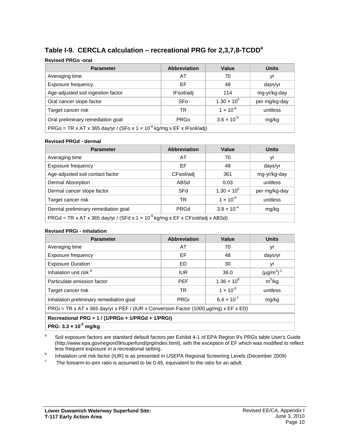# **Table I-9. CERCLA calculation – recreational PRG for 2,3,7,8-TCDDa**

#### **Revised PRGo -oral**

| <b>Parameter</b>                   | <b>Abbreviation</b>                                                                | Value                | <b>Units</b>  |  |  |  |  |
|------------------------------------|------------------------------------------------------------------------------------|----------------------|---------------|--|--|--|--|
| Averaging time                     | AT                                                                                 | 70                   | yr            |  |  |  |  |
| Exposure frequency                 | EF                                                                                 | 48                   | days/yr       |  |  |  |  |
| Age-adjusted soil ingestion factor | IFsoil/adj                                                                         | 114                  | mg-yr/kg-day  |  |  |  |  |
| Oral cancer slope factor           | <b>SFo</b>                                                                         | $1.30 \times 10^{5}$ | per mg/kg-day |  |  |  |  |
| Target cancer risk                 | TR                                                                                 | $1 \times 10^{-6}$   | unitless      |  |  |  |  |
| Oral preliminary remediation goal  | <b>PRGo</b>                                                                        | $3.6 \times 10^{-5}$ | mg/kg         |  |  |  |  |
|                                    | PRGo = TR x AT x 365 day/yr / (SFo x 1 x 10 <sup>-6</sup> kg/mg x EF x IFsoil/adj) |                      |               |  |  |  |  |

#### **Revised PRGd - dermal**

| <b>Parameter</b>                                                                                                                                 | <b>Abbreviation</b> | Value                | <b>Units</b>  |  |  |
|--------------------------------------------------------------------------------------------------------------------------------------------------|---------------------|----------------------|---------------|--|--|
| Averaging time                                                                                                                                   | AT                  | 70                   | yr            |  |  |
| Exposure frequency                                                                                                                               | EF                  | 48                   | days/yr       |  |  |
| Age-adjusted soil contact factor                                                                                                                 | CFsoil/adj          | 361                  | mg-yr/kg-day  |  |  |
| Dermal Absorption                                                                                                                                | ABSd                | 0.03                 | unitless      |  |  |
| Dermal cancer slope factor                                                                                                                       | SFd                 | $1.30 \times 10^{5}$ | per mg/kg-day |  |  |
| Target cancer risk                                                                                                                               | TR                  | $1 \times 10^{-6}$   | unitless      |  |  |
| Dermal preliminary remediation goal                                                                                                              | <b>PRGd</b>         | $3.8 \times 10^{-4}$ | mg/kg         |  |  |
| $PRGd = TR \times AT \times 365 \text{ day/yr}$ / (SFd $\times$ 1 $\times$ 10 <sup>-6</sup> kg/mg $\times$ EF $\times$ CFsoil/adj $\times$ ABSd) |                     |                      |               |  |  |

#### **Revised PRGi - inhalation**

| <b>Parameter</b>                                                                          | <b>Abbreviation</b> | Value                | <b>Units</b>       |  |  |  |
|-------------------------------------------------------------------------------------------|---------------------|----------------------|--------------------|--|--|--|
| Averaging time                                                                            | AT                  | 70                   | yr                 |  |  |  |
| Exposure frequency                                                                        | EF                  | 48                   | days/yr            |  |  |  |
| <b>Exposure Duration</b>                                                                  | ED.                 | 30                   | yr                 |  |  |  |
| Inhalation unit risk b                                                                    | <b>IUR</b>          | 38.0                 | $(\mu g/m^3)^{-1}$ |  |  |  |
| Particulate emission factor                                                               | <b>PFF</b>          | $1.36 \times 10^{9}$ | $m^3/kg$           |  |  |  |
| Target cancer risk                                                                        | TR.                 | $1 \times 10^{-6}$   | unitless           |  |  |  |
| Inhalation preliminary remediation goal                                                   | <b>PRGi</b>         | $6.4 \times 10^{-1}$ | mg/kg              |  |  |  |
| PRGi = TR x AT x 365 day/yr x PEF / (IUR x Conversion Factor (1000 $\mu$ g/mg) x EF x ED) |                     |                      |                    |  |  |  |
| Recreational PRG = 1 / (1/PRGo + 1/PRGd + 1/PRGi)                                         |                     |                      |                    |  |  |  |
|                                                                                           |                     |                      |                    |  |  |  |

**PRG: 3.3 × 10-5 mg/kg**

<sup>a</sup> Soil exposure factors are standard default factors per Exhibit 4-1 of EPA Region 9's PRGs table User's Guide (http://www.epa.gov/region09/superfund/prg/index.html), with the exception of EF which was modified to reflect less frequent exposure in a recreational setting.

<sup>b</sup> Inhalation unit risk factor (IUR) is as presented in USEPA Regional Screening Levels (December 2009) <sup>c</sup> The forearm-to-arm ratio is assumed to be 0.45, equivalent to the ratio for an adult.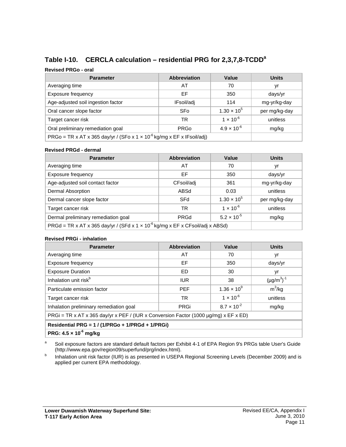# **Table I-10. CERCLA calculation – residential PRG for 2,3,7,8-TCDDa**

#### **Revised PRGo - oral**

| <b>Parameter</b>                   | <b>Abbreviation</b>                                                                | Value                | Units         |  |  |  |
|------------------------------------|------------------------------------------------------------------------------------|----------------------|---------------|--|--|--|
| Averaging time                     | AT                                                                                 | 70                   | yr            |  |  |  |
| Exposure frequency                 | EF                                                                                 | 350                  | days/yr       |  |  |  |
| Age-adjusted soil ingestion factor | IFsoil/adj                                                                         | 114                  | mg-yr/kg-day  |  |  |  |
| Oral cancer slope factor           | SFo                                                                                | $1.30 \times 10^{5}$ | per mg/kg-day |  |  |  |
| Target cancer risk                 | TR                                                                                 | $1 \times 10^{-6}$   | unitless      |  |  |  |
| Oral preliminary remediation goal  | mg/kg                                                                              |                      |               |  |  |  |
|                                    | PRGo = TR x AT x 365 day/yr / (SFo x 1 x 10 <sup>-6</sup> kg/mg x EF x IFsoil/adj) |                      |               |  |  |  |

#### **Revised PRGd - dermal**

| <b>Parameter</b>                                                                                                                                 | <b>Abbreviation</b> | Value                | <b>Units</b>  |
|--------------------------------------------------------------------------------------------------------------------------------------------------|---------------------|----------------------|---------------|
| Averaging time                                                                                                                                   | AT                  | 70                   | yr            |
| Exposure frequency                                                                                                                               | EF                  | 350                  | days/yr       |
| Age-adjusted soil contact factor                                                                                                                 | CFsoil/adj          | 361                  | mg-yr/kg-day  |
| Dermal Absorption                                                                                                                                | ABSd                | 0.03                 | unitless      |
| Dermal cancer slope factor                                                                                                                       | SFd                 | $1.30 \times 10^{5}$ | per mg/kg-day |
| Target cancer risk                                                                                                                               | TR                  | $1 \times 10^{-6}$   | unitless      |
| Dermal preliminary remediation goal                                                                                                              | PRGd                | $5.2 \times 10^{-5}$ | mg/kg         |
| $PRGd = TR \times AT \times 365 \text{ day/yr}$ / (SFd $\times 1 \times 10^{-6} \text{ kg/mg} \times EF \times CF \text{soil/adj} \times ABSd$ ) |                     |                      |               |

#### **Revised PRGi - inhalation**

| <b>Parameter</b>                                                                     | <b>Abbreviation</b> | Value                | <b>Units</b>       |  |  |  |  |
|--------------------------------------------------------------------------------------|---------------------|----------------------|--------------------|--|--|--|--|
| Averaging time                                                                       | AT                  | 70                   | yr                 |  |  |  |  |
| Exposure frequency                                                                   | EF                  | 350                  | days/yr            |  |  |  |  |
| <b>Exposure Duration</b>                                                             | ED                  | 30                   | yr                 |  |  |  |  |
| Inhalation unit risk <sup>b</sup>                                                    | <b>IUR</b>          | 38                   | $(\mu g/m^3)^{-1}$ |  |  |  |  |
| Particulate emission factor                                                          | <b>PEF</b>          | $1.36 \times 10^{9}$ | $m^3$ /kg          |  |  |  |  |
| Target cancer risk                                                                   | <b>TR</b>           | $1 \times 10^{-6}$   | unitless           |  |  |  |  |
| Inhalation preliminary remediation goal                                              | PRGi                | $8.7 \times 10^{-2}$ | mg/kg              |  |  |  |  |
| PRGi = TR x AT x 365 day/yr x PEF / (IUR x Conversion Factor (1000 µg/mg) x EF x ED) |                     |                      |                    |  |  |  |  |
| Residential PRG = 1 / (1/PRGo + 1/PRGd + 1/PRGi)                                     |                     |                      |                    |  |  |  |  |
| PRG: $4.5 \times 10^{-6}$ mg/kg                                                      |                     |                      |                    |  |  |  |  |

<sup>a</sup> Soil exposure factors are standard default factors per Exhibit 4-1 of EPA Region 9's PRGs table User's Guide (http://www.epa.gov/region09/superfund/prg/index.html).

**b** Inhalation unit risk factor (IUR) is as presented in USEPA Regional Screening Levels (December 2009) and is applied per current EPA methodology.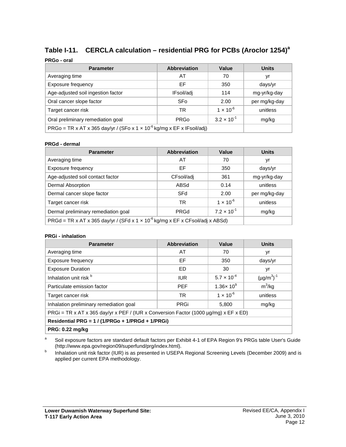# **Table I-11. CERCLA calculation – residential PRG for PCBs (Aroclor 1254)a**

#### **PRGo - oral**

| <b>Parameter</b>                                                            | <b>Abbreviation</b> | Value              | <b>Units</b>  |
|-----------------------------------------------------------------------------|---------------------|--------------------|---------------|
| Averaging time                                                              | AT                  | 70                 | yr            |
| Exposure frequency                                                          | EF                  | 350                | days/yr       |
| Age-adjusted soil ingestion factor                                          | IFsoil/adj          | 114                | mg-yr/kg-day  |
| Oral cancer slope factor                                                    | SFo                 | 2.00               | per mg/kg-day |
| Target cancer risk                                                          | TR                  | $1 \times 10^{-6}$ | unitless      |
| Oral preliminary remediation goal                                           | mg/kg               |                    |               |
| PRGo = TR x AT x 365 day/yr / (SFo x 1 x $10^{-6}$ kg/mg x EF x IFsoil/adj) |                     |                    |               |

#### **PRGd - dermal**

| <b>Parameter</b>                                                                                                                                 | <b>Abbreviation</b> | Value                | <b>Units</b>  |
|--------------------------------------------------------------------------------------------------------------------------------------------------|---------------------|----------------------|---------------|
| Averaging time                                                                                                                                   | AT                  | 70                   | yr            |
| Exposure frequency                                                                                                                               | EF                  | 350                  | days/yr       |
| Age-adjusted soil contact factor                                                                                                                 | CFsoil/adj          | 361                  | mg-yr/kg-day  |
| Dermal Absorption                                                                                                                                | ABSd                | 0.14                 | unitless      |
| Dermal cancer slope factor                                                                                                                       | SFd                 | 2.00                 | per mg/kg-day |
| Target cancer risk                                                                                                                               | TR                  | $1 \times 10^{-6}$   | unitless      |
| Dermal preliminary remediation goal                                                                                                              | <b>PRGd</b>         | $7.2 \times 10^{-1}$ | mg/kg         |
| $PRGd = TR \times AT \times 365 \text{ day/yr}$ / (SFd $\times$ 1 $\times$ 10 <sup>-6</sup> kg/mg $\times$ EF $\times$ CFsoil/adj $\times$ ABSd) |                     |                      |               |

#### **PRGi - inhalation**

| <b>Parameter</b>                                                                          | <b>Abbreviation</b> | Value                         | <b>Units</b>       |  |  |  |
|-------------------------------------------------------------------------------------------|---------------------|-------------------------------|--------------------|--|--|--|
| Averaging time                                                                            | AT                  | 70                            | yr                 |  |  |  |
| Exposure frequency                                                                        | EF                  | 350                           | days/yr            |  |  |  |
| <b>Exposure Duration</b>                                                                  | ED                  | 30                            | yr                 |  |  |  |
| Inhalation unit risk b                                                                    | <b>IUR</b>          | $5.7 \times 10^{-4}$          | $(\mu g/m^3)^{-1}$ |  |  |  |
| Particulate emission factor                                                               | <b>PFF</b>          | 1.36 $\times$ 10 <sup>9</sup> | $m^3$ /kg          |  |  |  |
| Target cancer risk                                                                        | TR.                 | $1 \times 10^{-6}$            | unitless           |  |  |  |
| Inhalation preliminary remediation goal                                                   | <b>PRGi</b>         | 5,800                         | mg/kg              |  |  |  |
| PRGi = TR x AT x 365 day/yr x PEF / (IUR x Conversion Factor (1000 $\mu$ g/mg) x EF x ED) |                     |                               |                    |  |  |  |
| Residential PRG = 1 / (1/PRGo + 1/PRGd + 1/PRGi)                                          |                     |                               |                    |  |  |  |

**PRG: 0.22 mg/kg**

<sup>a</sup> Soil exposure factors are standard default factors per Exhibit 4-1 of EPA Region 9's PRGs table User's Guide (http://www.epa.gov/region09/superfund/prg/index.html).

**b** Inhalation unit risk factor (IUR) is as presented in USEPA Regional Screening Levels (December 2009) and is applied per current EPA methodology.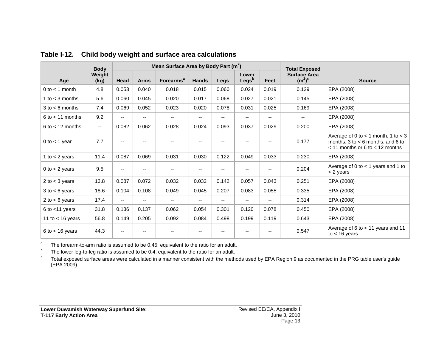|                      | <b>Body</b>              | Mean Surface Area by Body Part (m <sup>2</sup> ) |                          |                             |                          |       | <b>Total Exposed</b>       |                   |                                  |                                                                                                                         |
|----------------------|--------------------------|--------------------------------------------------|--------------------------|-----------------------------|--------------------------|-------|----------------------------|-------------------|----------------------------------|-------------------------------------------------------------------------------------------------------------------------|
| Age                  | Weight<br>(kg)           | Head                                             | <b>Arms</b>              | <b>Forearms<sup>a</sup></b> | <b>Hands</b>             | Legs  | Lower<br>Legs <sup>b</sup> | Feet              | <b>Surface Area</b><br>$(m^2)^c$ | <b>Source</b>                                                                                                           |
| $0$ to $<$ 1 month   | 4.8                      | 0.053                                            | 0.040                    | 0.018                       | 0.015                    | 0.060 | 0.024                      | 0.019             | 0.129                            | EPA (2008)                                                                                                              |
| 1 to $<$ 3 months    | 5.6                      | 0.060                                            | 0.045                    | 0.020                       | 0.017                    | 0.068 | 0.027                      | 0.021             | 0.145                            | EPA (2008)                                                                                                              |
| $3$ to $<$ 6 months  | 7.4                      | 0.069                                            | 0.052                    | 0.023                       | 0.020                    | 0.078 | 0.031                      | 0.025             | 0.169                            | EPA (2008)                                                                                                              |
| $6$ to $<$ 11 months | 9.2                      | $\overline{\phantom{a}}$                         | $\overline{\phantom{a}}$ | $\overline{\phantom{a}}$    | $\overline{\phantom{a}}$ | $- -$ | --                         | --                | $\overline{\phantom{a}}$         | EPA (2008)                                                                                                              |
| $6$ to $<$ 12 months | $\overline{\phantom{a}}$ | 0.082                                            | 0.062                    | 0.028                       | 0.024                    | 0.093 | 0.037                      | 0.029             | 0.200                            | EPA (2008)                                                                                                              |
| $0$ to $<$ 1 year    | 7.7                      |                                                  |                          |                             |                          |       |                            | --                | 0.177                            | Average of 0 to $<$ 1 month, 1 to $<$ 3<br>months, $3$ to $<$ 6 months, and 6 to<br>$<$ 11 months or 6 to $<$ 12 months |
| 1 to $<$ 2 years     | 11.4                     | 0.087                                            | 0.069                    | 0.031                       | 0.030                    | 0.122 | 0.049                      | 0.033             | 0.230                            | EPA (2008)                                                                                                              |
| 0 to $<$ 2 years     | 9.5                      | $\overline{\phantom{a}}$                         | --                       | --                          | $\overline{\phantom{a}}$ | $- -$ | $-$                        | --                | 0.204                            | Average of 0 to $<$ 1 years and 1 to<br>< 2 years                                                                       |
| 2 to $<$ 3 years     | 13.8                     | 0.087                                            | 0.072                    | 0.032                       | 0.032                    | 0.142 | 0.057                      | 0.043             | 0.251                            | EPA (2008)                                                                                                              |
| $3$ to $<$ 6 years   | 18.6                     | 0.104                                            | 0.108                    | 0.049                       | 0.045                    | 0.207 | 0.083                      | 0.055             | 0.335                            | EPA (2008)                                                                                                              |
| 2 to $<$ 6 years     | 17.4                     | $\overline{\phantom{a}}$                         | $\overline{\phantom{a}}$ | $\overline{\phantom{a}}$    | $\overline{\phantom{a}}$ | $- -$ | $-$                        | $\qquad \qquad -$ | 0.314                            | EPA (2008)                                                                                                              |
| 6 to $<$ 11 years    | 31.8                     | 0.136                                            | 0.137                    | 0.062                       | 0.054                    | 0.301 | 0.120                      | 0.078             | 0.450                            | EPA (2008)                                                                                                              |
| 11 to $<$ 16 years   | 56.8                     | 0.149                                            | 0.205                    | 0.092                       | 0.084                    | 0.498 | 0.199                      | 0.119             | 0.643                            | EPA (2008)                                                                                                              |
| $6$ to $<$ 16 years  | 44.3                     |                                                  |                          |                             |                          |       |                            | --                | 0.547                            | Average of 6 to $<$ 11 years and 11<br>to $<$ 16 years                                                                  |

**Table I-12. Child body weight and surface area calculations**

<sup>a</sup> The forearm-to-arm ratio is assumed to be 0.45, equivalent to the ratio for an adult.<br><sup>b</sup> The lower leg-to-leg ratio is assumed to be 0.4, equivalent to the ratio for an adult.

<sup>c</sup> Total exposed surface areas were calculated in a manner consistent with the methods used by EPA Region 9 as documented in the PRG table user's guide (EPA 2009).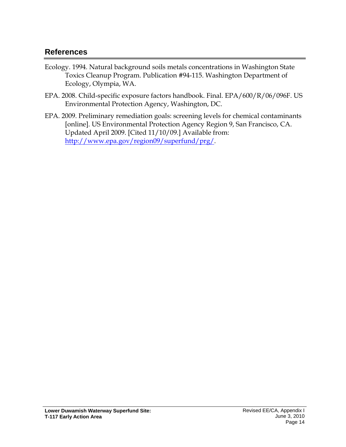# **References**

- Ecology. 1994. Natural background soils metals concentrations in Washington State Toxics Cleanup Program. Publication #94-115. Washington Department of Ecology, Olympia, WA.
- EPA. 2008. Child-specific exposure factors handbook. Final. EPA/600/R/06/096F. US Environmental Protection Agency, Washington, DC.
- EPA. 2009. Preliminary remediation goals: screening levels for chemical contaminants [online]. US Environmental Protection Agency Region 9, San Francisco, CA. Updated April 2009. [Cited 11/10/09.] Available from: [http://www.epa.gov/region09/superfund/prg/.](http://www.epa.gov/region09/superfund/prg/)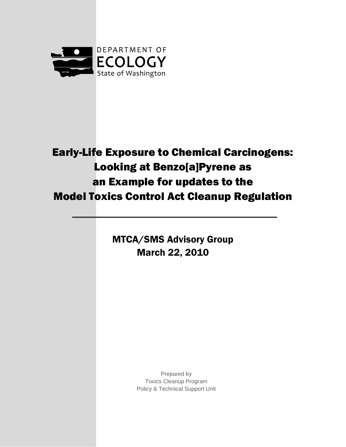

# Early-Life Exposure to Chemical Carcinogens: Looking at Benzo[a]Pyrene as an Example for updates to the Model Toxics Control Act Cleanup Regulation

MTCA/SMS Advisory Group March 22, 2010

> Prepared by Toxics Cleanup Program Policy & Technical Support Unit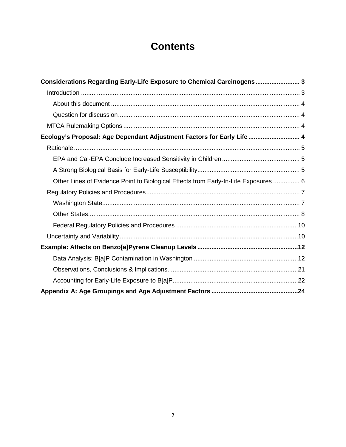# **Contents**

| Considerations Regarding Early-Life Exposure to Chemical Carcinogens 3              |  |
|-------------------------------------------------------------------------------------|--|
|                                                                                     |  |
|                                                                                     |  |
|                                                                                     |  |
|                                                                                     |  |
| Ecology's Proposal: Age Dependant Adjustment Factors for Early Life  4              |  |
|                                                                                     |  |
|                                                                                     |  |
|                                                                                     |  |
| Other Lines of Evidence Point to Biological Effects from Early-In-Life Exposures  6 |  |
|                                                                                     |  |
|                                                                                     |  |
|                                                                                     |  |
|                                                                                     |  |
|                                                                                     |  |
|                                                                                     |  |
|                                                                                     |  |
|                                                                                     |  |
|                                                                                     |  |
|                                                                                     |  |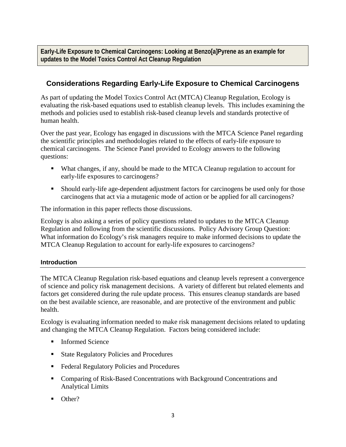**Early-Life Exposure to Chemical Carcinogens: Looking at Benzo[a]Pyrene as an example for updates to the Model Toxics Control Act Cleanup Regulation**

# <span id="page-17-0"></span>**Considerations Regarding Early-Life Exposure to Chemical Carcinogens**

As part of updating the Model Toxics Control Act (MTCA) Cleanup Regulation, Ecology is evaluating the risk-based equations used to establish cleanup levels. This includes examining the methods and policies used to establish risk-based cleanup levels and standards protective of human health.

Over the past year, Ecology has engaged in discussions with the MTCA Science Panel regarding the scientific principles and methodologies related to the effects of early-life exposure to chemical carcinogens. The Science Panel provided to Ecology answers to the following questions:

- What changes, if any, should be made to the MTCA Cleanup regulation to account for early-life exposures to carcinogens?
- Should early-life age-dependent adjustment factors for carcinogens be used only for those carcinogens that act via a mutagenic mode of action or be applied for all carcinogens?

The information in this paper reflects those discussions.

Ecology is also asking a series of policy questions related to updates to the MTCA Cleanup Regulation and following from the scientific discussions. Policy Advisory Group Question: What information do Ecology's risk managers require to make informed decisions to update the MTCA Cleanup Regulation to account for early-life exposures to carcinogens?

## <span id="page-17-1"></span>**Introduction**

The MTCA Cleanup Regulation risk-based equations and cleanup levels represent a convergence of science and policy risk management decisions. A variety of different but related elements and factors get considered during the rule update process. This ensures cleanup standards are based on the best available science, are reasonable, and are protective of the environment and public health.

Ecology is evaluating information needed to make risk management decisions related to updating and changing the MTCA Cleanup Regulation. Factors being considered include:

- **Informed Science**
- State Regulatory Policies and Procedures
- Federal Regulatory Policies and Procedures
- Comparing of Risk-Based Concentrations with Background Concentrations and Analytical Limits
- Other?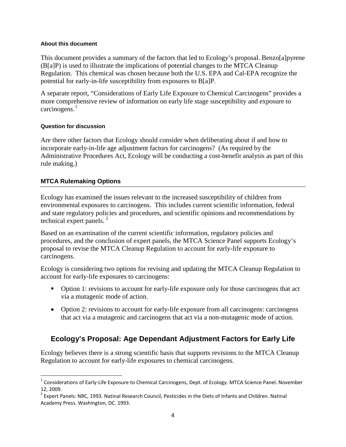#### <span id="page-18-0"></span>**About this document**

This document provides a summary of the factors that led to Ecology's proposal. Benzo[a]pyrene (B[a]P) is used to illustrate the implications of potential changes to the MTCA Cleanup Regulation. This chemical was chosen because both the U.S. EPA and Cal-EPA recognize the potential for early-in-life susceptibility from exposures to B[a]P.

A separate report, "Considerations of Early Life Exposure to Chemical Carcinogens" provides a more comprehensive review of information on early life stage susceptibility and exposure to carcinogens.<sup>[1](#page-18-4)</sup>

### <span id="page-18-1"></span>**Question for discussion**

Are there other factors that Ecology should consider when deliberating about if and how to incorporate early-in-life age adjustment factors for carcinogens? (As required by the Administrative Procedures Act, Ecology will be conducting a cost-benefit analysis as part of this rule making.)

## <span id="page-18-2"></span>**MTCA Rulemaking Options**

Ecology has examined the issues relevant to the increased susceptibility of children from environmental exposures to carcinogens. This includes current scientific information, federal and state regulatory policies and procedures, and scientific opinions and recommendations by technical expert panels.<sup>[2](#page-18-5)</sup>

Based on an examination of the current scientific information, regulatory policies and procedures, and the conclusion of expert panels, the MTCA Science Panel supports Ecology's proposal to revise the MTCA Cleanup Regulation to account for early-life exposure to carcinogens.

Ecology is considering two options for revising and updating the MTCA Cleanup Regulation to account for early-life exposures to carcinogens:

- Option 1: revisions to account for early-life exposure only for those carcinogens that act via a mutagenic mode of action.
- Option 2: revisions to account for early-life exposure from all carcinogens: carcinogens that act via a mutagenic and carcinogens that act via a non-mutagenic mode of action.

# <span id="page-18-3"></span>**Ecology's Proposal: Age Dependant Adjustment Factors for Early Life**

Ecology believes there is a strong scientific basis that supports revisions to the MTCA Cleanup Regulation to account for early-life exposures to chemical carcinogens.

<span id="page-18-4"></span> $1$  Considerations of Early-Life Exposure to Chemical Carcinogens, Dept. of Ecology. MTCA Science Panel. November 12, 2009.

<span id="page-18-5"></span><sup>&</sup>lt;sup>2</sup> Expert Panels: NRC, 1993. Natinal Research Council, Pesticides in the Diets of Infants and Children. Natinal Academy Press. Washington, DC. 1993.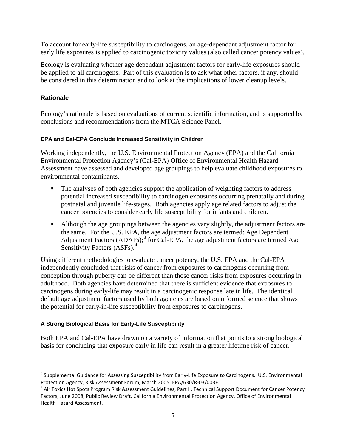To account for early-life susceptibility to carcinogens, an age-dependant adjustment factor for early life exposures is applied to carcinogenic toxicity values (also called cancer potency values).

Ecology is evaluating whether age dependant adjustment factors for early-life exposures should be applied to all carcinogens. Part of this evaluation is to ask what other factors, if any, should be considered in this determination and to look at the implications of lower cleanup levels.

## <span id="page-19-0"></span>**Rationale**

Ecology's rationale is based on evaluations of current scientific information, and is supported by conclusions and recommendations from the MTCA Science Panel.

### <span id="page-19-1"></span>**EPA and Cal-EPA Conclude Increased Sensitivity in Children**

Working independently, the U.S. Environmental Protection Agency (EPA) and the California Environmental Protection Agency's (Cal-EPA) Office of Environmental Health Hazard Assessment have assessed and developed age groupings to help evaluate childhood exposures to environmental contaminants.

- The analyses of both agencies support the application of weighting factors to address potential increased susceptibility to carcinogen exposures occurring prenatally and during postnatal and juvenile life-stages. Both agencies apply age related factors to adjust the cancer potencies to consider early life susceptibility for infants and children.
- Although the age groupings between the agencies vary slightly, the adjustment factors are the same. For the U.S. EPA, the age adjustment factors are termed: Age Dependent Adjustment Factors  $(ADAFs)$ ;<sup>[3](#page-19-3)</sup> for Cal-EPA, the age adjustment factors are termed Age Sensitivity Factors (ASFs).<sup>[4](#page-19-4)</sup>

Using different methodologies to evaluate cancer potency, the U.S. EPA and the Cal-EPA independently concluded that risks of cancer from exposures to carcinogens occurring from conception through puberty can be different than those cancer risks from exposures occurring in adulthood. Both agencies have determined that there is sufficient evidence that exposures to carcinogens during early-life may result in a carcinogenic response late in life. The identical default age adjustment factors used by both agencies are based on informed science that shows the potential for early-in-life susceptibility from exposures to carcinogens.

### <span id="page-19-2"></span>**A Strong Biological Basis for Early-Life Susceptibility**

Both EPA and Cal-EPA have drawn on a variety of information that points to a strong biological basis for concluding that exposure early in life can result in a greater lifetime risk of cancer.

<span id="page-19-3"></span><sup>&</sup>lt;sup>3</sup> Supplemental Guidance for Assessing Susceptibility from Early-Life Exposure to Carcinogens. U.S. Environmental Protection Agency, Risk Assessment Forum, March 2005. EPA/630/R-03/003F.

<span id="page-19-4"></span><sup>&</sup>lt;sup>4</sup> Air Toxics Hot Spots Program Risk Assessment Guidelines, Part II, Technical Support Document for Cancer Potency Factors, June 2008, Public Review Draft, California Environmental Protection Agency, Office of Environmental Health Hazard Assessment.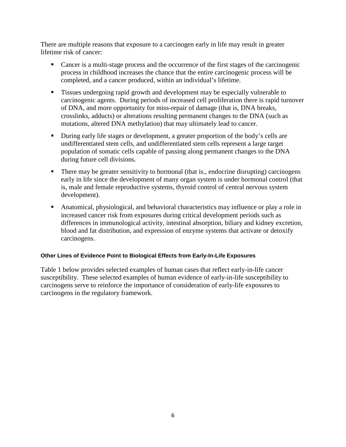There are multiple reasons that exposure to a carcinogen early in life may result in greater lifetime risk of cancer:

- Cancer is a multi-stage process and the occurrence of the first stages of the carcinogenic process in childhood increases the chance that the entire carcinogenic process will be completed, and a cancer produced, within an individual's lifetime.
- **Tissues undergoing rapid growth and development may be especially vulnerable to** carcinogenic agents. During periods of increased cell proliferation there is rapid turnover of DNA, and more opportunity for miss-repair of damage (that is, DNA breaks, crosslinks, adducts) or alterations resulting permanent changes to the DNA (such as mutations, altered DNA methylation) that may ultimately lead to cancer.
- During early life stages or development, a greater proportion of the body's cells are undifferentiated stem cells, and undifferentiated stem cells represent a large target population of somatic cells capable of passing along permanent changes to the DNA during future cell divisions.
- There may be greater sensitivity to hormonal (that is., endocrine disrupting) carcinogens early in life since the development of many organ system is under hormonal control (that is, male and female reproductive systems, thyroid control of central nervous system development).
- Anatomical, physiological, and behavioral characteristics may influence or play a role in increased cancer risk from exposures during critical development periods such as differences in immunological activity, intestinal absorption, biliary and kidney excretion, blood and fat distribution, and expression of enzyme systems that activate or detoxify carcinogens.

### <span id="page-20-0"></span>**Other Lines of Evidence Point to Biological Effects from Early-In-Life Exposures**

Table 1 below provides selected examples of human cases that reflect early-in-life cancer susceptibility. These selected examples of human evidence of early-in-life susceptibility to carcinogens serve to reinforce the importance of consideration of early-life exposures to carcinogens in the regulatory framework.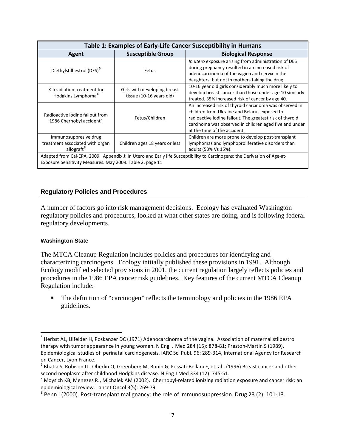| Table 1: Examples of Early-Life Cancer Susceptibility in Humans                                                                                                                       |                                                          |                                                                                                                                                                                                                                                              |  |  |  |
|---------------------------------------------------------------------------------------------------------------------------------------------------------------------------------------|----------------------------------------------------------|--------------------------------------------------------------------------------------------------------------------------------------------------------------------------------------------------------------------------------------------------------------|--|--|--|
| Agent                                                                                                                                                                                 | <b>Susceptible Group</b>                                 | <b>Biological Response</b>                                                                                                                                                                                                                                   |  |  |  |
| Diethylstilbestrol (DES) <sup>5</sup>                                                                                                                                                 | Fetus                                                    | In utero exposure arising from administration of DES<br>during pregnancy resulted in an increased risk of<br>adenocarcinoma of the vagina and cervix in the<br>daughters, but not in mothers taking the drug.                                                |  |  |  |
| X-Irradiation treatment for<br>Hodgkins Lymphoma <sup>6</sup>                                                                                                                         | Girls with developing breast<br>tissue (10-16 years old) | 10-16 year old girls considerably much more likely to<br>develop breast cancer than those under age 10 similarly<br>treated. 35% increased risk of cancer by age 40.                                                                                         |  |  |  |
| Radioactive jodine fallout from<br>1986 Chernobyl accident <sup>7</sup>                                                                                                               | Fetus/Children                                           | An increased risk of thyroid carcinoma was observed in<br>children from Ukraine and Belarus exposed to<br>radioactive iodine fallout. The greatest risk of thyroid<br>carcinoma was observed in children aged five and under<br>at the time of the accident. |  |  |  |
| Immunosuppresive drug<br>treatment associated with organ<br>allograft <sup>8</sup>                                                                                                    | Children ages 18 years or less                           | Children are more prone to develop post-transplant<br>lymphomas and lymphoproliferative disorders than<br>adults (53% Vs 15%).                                                                                                                               |  |  |  |
| Adapted from Cal-EPA, 2009. Appendix J: In Utero and Early life Susceptibility to Carcinogens: the Derivation of Age-at-<br>Exposure Sensitivity Measures. May 2009. Table 2, page 11 |                                                          |                                                                                                                                                                                                                                                              |  |  |  |

### <span id="page-21-0"></span>**Regulatory Policies and Procedures**

A number of factors go into risk management decisions. Ecology has evaluated Washington regulatory policies and procedures, looked at what other states are doing, and is following federal regulatory developments.

#### <span id="page-21-1"></span>**Washington State**

The MTCA Cleanup Regulation includes policies and procedures for identifying and characterizing carcinogens. Ecology initially published these provisions in 1991. Although Ecology modified selected provisions in 2001, the current regulation largely reflects policies and procedures in the 1986 EPA cancer risk guidelines. Key features of the current MTCA Cleanup Regulation include:

• The definition of "carcinogen" reflects the terminology and policies in the 1986 EPA guidelines.

<span id="page-21-2"></span> <sup>5</sup> Herbst AL, Ulfelder H, Poskanzer DC (1971) Adenocarcinoma of the vagina. Association of maternal stilbestrol therapy with tumor appearance in young women. N Engl J Med 284 (15): 878-81; Preston-Martin S (1989). Epidemiological studies of perinatal carcinogenesis. IARC Sci Publ. 96: 289-314, International Agency for Research on Cancer, Lyon France.

<span id="page-21-3"></span><sup>&</sup>lt;sup>6</sup> Bhatia S, Robison LL, Oberlin O, Greenberg M, Bunin G, Fossati-Bellani F, et. al., (1996) Breast cancer and other second neoplasm after childhood Hodgkins disease. N Eng J Med 334 (12): 745-51.

<span id="page-21-4"></span> $^7$  Moysich KB, Menezes RJ, Michalek AM (2002). Chernobyl-related ionizing radiation exposure and cancer risk: an epidemiological review. Lancet Oncol 3(5): 269-79.

<span id="page-21-5"></span><sup>&</sup>lt;sup>8</sup> Penn I (2000). Post-transplant malignancy: the role of immunosuppression. Drug 23 (2): 101-13.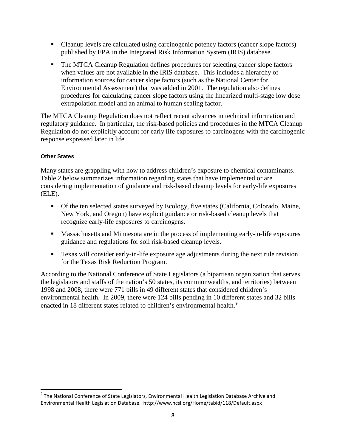- Cleanup levels are calculated using carcinogenic potency factors (cancer slope factors) published by EPA in the Integrated Risk Information System (IRIS) database.
- The MTCA Cleanup Regulation defines procedures for selecting cancer slope factors when values are not available in the IRIS database. This includes a hierarchy of information sources for cancer slope factors (such as the National Center for Environmental Assessment) that was added in 2001. The regulation also defines procedures for calculating cancer slope factors using the linearized multi-stage low dose extrapolation model and an animal to human scaling factor.

The MTCA Cleanup Regulation does not reflect recent advances in technical information and regulatory guidance. In particular, the risk-based policies and procedures in the MTCA Cleanup Regulation do not explicitly account for early life exposures to carcinogens with the carcinogenic response expressed later in life.

## <span id="page-22-0"></span>**Other States**

Many states are grappling with how to address children's exposure to chemical contaminants. Table 2 below summarizes information regarding states that have implemented or are considering implementation of guidance and risk-based cleanup levels for early-life exposures (ELE).

- Of the ten selected states surveyed by Ecology, five states (California, Colorado, Maine, New York, and Oregon) have explicit guidance or risk-based cleanup levels that recognize early-life exposures to carcinogens.
- Massachusetts and Minnesota are in the process of implementing early-in-life exposures guidance and regulations for soil risk-based cleanup levels.
- **Texas will consider early-in-life exposure age adjustments during the next rule revision** for the Texas Risk Reduction Program.

According to the National Conference of State Legislators (a bipartisan organization that serves the legislators and staffs of the nation's 50 states, its commonwealths, and territories) between 1998 and 2008, there were 771 bills in 49 different states that considered children's environmental health. In 2009, there were 124 bills pending in 10 different states and 32 bills enacted in 18 different states related to children's environmental health.<sup>[9](#page-22-1)</sup>

<span id="page-22-1"></span><sup>&</sup>lt;sup>9</sup> The National Conference of State Legislators, Environmental Health Legislation Database Archive and Environmental Health Legislation Database. http://www.ncsl.org/Home/tabid/118/Default.aspx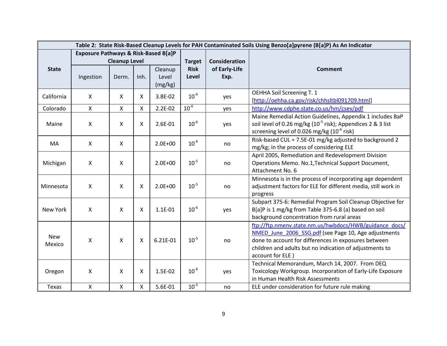| Table 2: State Risk-Based Cleanup Levels for PAH Contaminated Soils Using Benzo[a]pyrene (B[a]P) As An Indicator |                                      |                      |              |                  |               |                      |                                                                                                                 |
|------------------------------------------------------------------------------------------------------------------|--------------------------------------|----------------------|--------------|------------------|---------------|----------------------|-----------------------------------------------------------------------------------------------------------------|
|                                                                                                                  | Exposure Pathways & Risk-Based B[a]P |                      |              |                  |               |                      |                                                                                                                 |
|                                                                                                                  |                                      | <b>Cleanup Level</b> |              |                  | <b>Target</b> | <b>Consideration</b> |                                                                                                                 |
| <b>State</b>                                                                                                     |                                      |                      |              | Cleanup          | <b>Risk</b>   | of Early-Life        | Comment                                                                                                         |
|                                                                                                                  | Ingestion                            | Derm.                | Inh.         | Level<br>(mg/kg) | Level         | Exp.                 |                                                                                                                 |
|                                                                                                                  |                                      |                      |              |                  |               |                      | OEHHA Soil Screening T. 1                                                                                       |
| California                                                                                                       | $\boldsymbol{\mathsf{X}}$            | X                    | x            | 3.8E-02          | $10^{-6}$     | yes                  | [http://oehha.ca.gov/risk/chhsltbl091709.html]                                                                  |
| Colorado                                                                                                         | $\mathsf{X}$                         | $\mathsf{X}$         | $\mathsf{X}$ | $2.2E-02$        | $10^{-6}$     | yes                  | http://www.cdphe.state.co.us/hm/csev/pdf                                                                        |
|                                                                                                                  |                                      |                      |              |                  |               |                      | Maine Remedial Action Guidelines, Appendix 1 includes BaP                                                       |
| Maine                                                                                                            | $\pmb{\times}$                       | $\mathsf{X}$         | X            | 2.6E-01          | $10^{-6}$     | yes                  | soil level of 0.26 mg/kg (10 <sup>-5</sup> risk); Appendices 2 & 3 list                                         |
|                                                                                                                  |                                      |                      |              |                  |               |                      | screening level of 0.026 mg/kg $(10^{-6}$ risk)                                                                 |
| MA                                                                                                               | $\boldsymbol{\mathsf{X}}$            | $\mathsf{X}$         |              | $2.0E + 00$      | $10^{-6}$     | no                   | Risk-based CUL = 7.5E-01 mg/kg adjusted to background 2                                                         |
|                                                                                                                  |                                      |                      |              |                  |               |                      | mg/kg; in the process of considering ELE                                                                        |
|                                                                                                                  |                                      |                      |              |                  |               |                      | April 2005, Remediation and Redevelopment Division                                                              |
| Michigan                                                                                                         | $\boldsymbol{\mathsf{X}}$            | $\mathsf{X}$         |              | $2.0E + 00$      | $10^{-5}$     | no                   | Operations Memo. No.1, Technical Support Document,                                                              |
|                                                                                                                  |                                      |                      |              |                  |               |                      | Attachment No. 6                                                                                                |
|                                                                                                                  |                                      |                      |              |                  |               |                      | Minnesota is in the process of incorporating age dependent                                                      |
| Minnesota                                                                                                        | X                                    | X                    | X            | $2.0E + 00$      | $10^{-5}$     | no                   | adjustment factors for ELE for different media, still work in                                                   |
|                                                                                                                  |                                      |                      |              |                  |               |                      | progress                                                                                                        |
|                                                                                                                  |                                      |                      |              |                  |               |                      | Subpart 375-6: Remedial Program Soil Cleanup Objective for                                                      |
| New York                                                                                                         | $\pmb{\times}$                       | $\mathsf{X}$         | X            | 1.1E-01          | $10^{-6}$     | yes                  | B[a]P is 1 mg/kg from Table 375-6.8 (a) based on soil                                                           |
|                                                                                                                  |                                      |                      |              |                  |               |                      | background concentration from rural areas                                                                       |
|                                                                                                                  |                                      |                      |              |                  |               |                      | ftp://ftp.nmenv.state.nm.us/hwbdocs/HWB/guidance_docs/                                                          |
| <b>New</b>                                                                                                       |                                      |                      |              |                  | $10^{-5}$     |                      | NMED June 2006 SSG.pdf (see Page 10, Age adjustments                                                            |
| Mexico                                                                                                           | $\pmb{\times}$                       | $\mathsf{X}$         | Χ            | 6.21E-01         |               | no                   | done to account for differences in exposures between<br>children and adults but no indication of adjustments to |
|                                                                                                                  |                                      |                      |              |                  |               |                      | account for ELE)                                                                                                |
|                                                                                                                  |                                      |                      |              |                  |               |                      | Technical Memorandum, March 14, 2007. From DEQ                                                                  |
| Oregon                                                                                                           | $\boldsymbol{\mathsf{X}}$            | $\mathsf{X}$         | X            | 1.5E-02          | $10^{-6}$     | yes                  | Toxicology Workgroup. Incorporation of Early-Life Exposure                                                      |
|                                                                                                                  |                                      |                      |              |                  |               |                      | in Human Health Risk Assessments                                                                                |
| Texas                                                                                                            | $\mathsf{X}$                         | X                    | $\mathsf{X}$ | 5.6E-01          | $10^{-5}$     | no                   | ELE under consideration for future rule making                                                                  |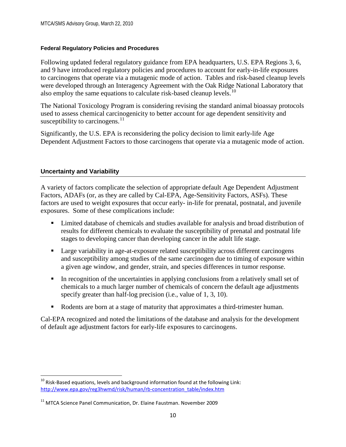## <span id="page-24-0"></span>**Federal Regulatory Policies and Procedures**

Following updated federal regulatory guidance from EPA headquarters, U.S. EPA Regions 3, 6, and 9 have introduced regulatory policies and procedures to account for early-in-life exposures to carcinogens that operate via a mutagenic mode of action. Tables and risk-based cleanup levels were developed through an Interagency Agreement with the Oak Ridge National Laboratory that also employ the same equations to calculate risk-based cleanup levels.<sup>[10](#page-24-2)</sup>

The National Toxicology Program is considering revising the standard animal bioassay protocols used to assess chemical carcinogenicity to better account for age dependent sensitivity and susceptibility to carcinogens.<sup>[11](#page-24-3)</sup>

Significantly, the U.S. EPA is reconsidering the policy decision to limit early-life Age Dependent Adjustment Factors to those carcinogens that operate via a mutagenic mode of action.

## <span id="page-24-1"></span>**Uncertainty and Variability**

A variety of factors complicate the selection of appropriate default Age Dependent Adjustment Factors, ADAFs (or, as they are called by Cal-EPA, Age-Sensitivity Factors, ASFs). These factors are used to weight exposures that occur early- in-life for prenatal, postnatal, and juvenile exposures. Some of these complications include:

- Limited database of chemicals and studies available for analysis and broad distribution of results for different chemicals to evaluate the susceptibility of prenatal and postnatal life stages to developing cancer than developing cancer in the adult life stage.
- **Large variability in age-at-exposure related susceptibility across different carcinogens** and susceptibility among studies of the same carcinogen due to timing of exposure within a given age window, and gender, strain, and species differences in tumor response.
- In recognition of the uncertainties in applying conclusions from a relatively small set of chemicals to a much larger number of chemicals of concern the default age adjustments specify greater than half-log precision (i.e., value of 1, 3, 10).
- Rodents are born at a stage of maturity that approximates a third-trimester human.

Cal-EPA recognized and noted the limitations of the database and analysis for the development of default age adjustment factors for early-life exposures to carcinogens.

<span id="page-24-2"></span> $10$  Risk-Based equations, levels and background information found at the following Link: [http://www.epa.gov/reg3hwmd/risk/human/rb-concentration\\_table/index.htm](http://www.epa.gov/reg3hwmd/risk/human/rb-concentration_table/index.htm)

<span id="page-24-3"></span> $11$  MTCA Science Panel Communication, Dr. Elaine Faustman. November 2009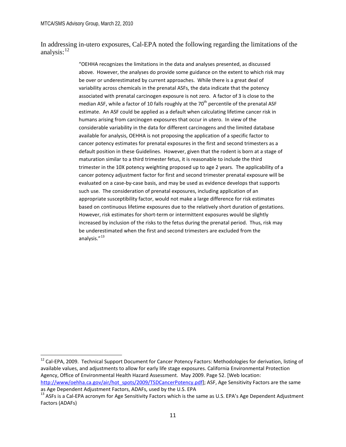In addressing in-utero exposures, Cal-EPA noted the following regarding the limitations of the analysis:<sup>[12](#page-25-0)</sup>

> "OEHHA recognizes the limitations in the data and analyses presented, as discussed above. However, the analyses do provide some guidance on the extent to which risk may be over or underestimated by current approaches. While there is a great deal of variability across chemicals in the prenatal ASFs, the data indicate that the potency associated with prenatal carcinogen exposure is not zero. A factor of 3 is close to the median ASF, while a factor of 10 falls roughly at the 70<sup>th</sup> percentile of the prenatal ASF estimate. An ASF could be applied as a default when calculating lifetime cancer risk in humans arising from carcinogen exposures that occur in utero. In view of the considerable variability in the data for different carcinogens and the limited database available for analysis, OEHHA is not proposing the application of a specific factor to cancer potency estimates for prenatal exposures in the first and second trimesters as a default position in these Guidelines. However, given that the rodent is born at a stage of maturation similar to a third trimester fetus, it is reasonable to include the third trimester in the 10X potency weighting proposed up to age 2 years. The applicability of a cancer potency adjustment factor for first and second trimester prenatal exposure will be evaluated on a case-by-case basis, and may be used as evidence develops that supports such use. The consideration of prenatal exposures, including application of an appropriate susceptibility factor, would not make a large difference for risk estimates based on continuous lifetime exposures due to the relatively short duration of gestations. However, risk estimates for short-term or intermittent exposures would be slightly increased by inclusion of the risks to the fetus during the prenatal period. Thus, risk may be underestimated when the first and second trimesters are excluded from the analysis."<sup>[13](#page-25-1)</sup>

<span id="page-25-0"></span><sup>&</sup>lt;sup>12</sup> Cal-EPA, 2009. Technical Support Document for Cancer Potency Factors: Methodologies for derivation, listing of available values, and adjustments to allow for early life stage exposures. California Environmental Protection Agency, Office of Environmental Health Hazard Assessment. May 2009. Page 52. [Web location: [http://www/oehha.ca.gov/air/hot\\_spots/2009/TSDCancerPotency.pdf\]](http://www/oehha.ca.gov/air/hot_spots/2009/TSDCancerPotency.pdf); ASF, Age Sensitivity Factors are the same

as Age Dependent Adjustment Factors, ADAFs, used by the U.S. EPA

<span id="page-25-1"></span><sup>&</sup>lt;sup>13</sup> ASFs is a Cal-EPA acronym for Age Sensitivity Factors which is the same as U.S. EPA's Age Dependent Adjustment Factors (ADAFs)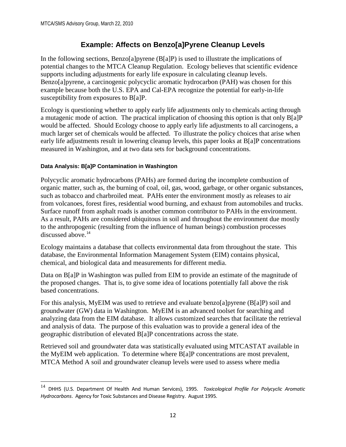# **Example: Affects on Benzo[a]Pyrene Cleanup Levels**

<span id="page-26-0"></span>In the following sections, Benzo[a]pyrene (B[a]P) is used to illustrate the implications of potential changes to the MTCA Cleanup Regulation. Ecology believes that scientific evidence supports including adjustments for early life exposure in calculating cleanup levels. Benzo[a]pyrene, a carcinogenic polycyclic aromatic hydrocarbon (PAH) was chosen for this example because both the U.S. EPA and Cal-EPA recognize the potential for early-in-life susceptibility from exposures to B[a]P.

Ecology is questioning whether to apply early life adjustments only to chemicals acting through a mutagenic mode of action. The practical implication of choosing this option is that only B[a]P would be affected. Should Ecology choose to apply early life adjustments to all carcinogens, a much larger set of chemicals would be affected. To illustrate the policy choices that arise when early life adjustments result in lowering cleanup levels, this paper looks at B[a]P concentrations measured in Washington, and at two data sets for background concentrations.

## <span id="page-26-1"></span>**Data Analysis: B[a]P Contamination in Washington**

 $\overline{\phantom{0}}$ 

Polycyclic aromatic hydrocarbons (PAHs) are formed during the incomplete combustion of organic matter, such as, the burning of coal, oil, gas, wood, garbage, or other organic substances, such as tobacco and charbroiled meat. PAHs enter the environment mostly as releases to air from volcanoes, forest fires, residential wood burning, and exhaust from automobiles and trucks. Surface runoff from asphalt roads is another common contributor to PAHs in the environment. As a result, PAHs are considered ubiquitous in soil and throughout the environment due mostly to the anthropogenic (resulting from the influence of human beings) combustion processes discussed above.<sup>[14](#page-26-2)</sup>

Ecology maintains a database that collects environmental data from throughout the state. This database, the Environmental Information Management System (EIM) contains physical, chemical, and biological data and measurements for different media.

Data on B[a]P in Washington was pulled from EIM to provide an estimate of the magnitude of the proposed changes. That is, to give some idea of locations potentially fall above the risk based concentrations.

For this analysis, MyEIM was used to retrieve and evaluate benzo[a]pyrene (B[a]P) soil and groundwater (GW) data in Washington. MyEIM is an advanced toolset for searching and analyzing data from the EIM database. It allows customized searches that facilitate the retrieval and analysis of data. The purpose of this evaluation was to provide a general idea of the geographic distribution of elevated B[a]P concentrations across the state.

Retrieved soil and groundwater data was statistically evaluated using MTCASTAT available in the MyEIM web application. To determine where B[a]P concentrations are most prevalent, MTCA Method A soil and groundwater cleanup levels were used to assess where media

<span id="page-26-2"></span><sup>14</sup> DHHS (U.S. Department Of Health And Human Services), 1995. *Toxicological Profile For Polycyclic Aromatic Hydrocarbons*. Agency for Toxic Substances and Disease Registry. August 1995.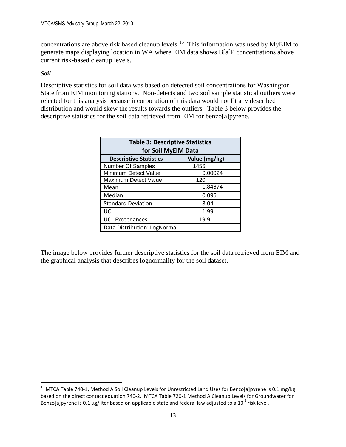concentrations are above risk based cleanup levels.<sup>[15](#page-27-0)</sup> This information was used by MyEIM to generate maps displaying location in WA where EIM data shows B[a]P concentrations above current risk-based cleanup levels..

## *Soil*

Descriptive statistics for soil data was based on detected soil concentrations for Washington State from EIM monitoring stations. Non-detects and two soil sample statistical outliers were rejected for this analysis because incorporation of this data would not fit any described distribution and would skew the results towards the outliers. Table 3 below provides the descriptive statistics for the soil data retrieved from EIM for benzo[a]pyrene.

| <b>Table 3: Descriptive Statistics</b><br>for Soil MyEIM Data |         |  |  |  |  |
|---------------------------------------------------------------|---------|--|--|--|--|
| <b>Descriptive Statistics</b><br>Value (mg/kg)                |         |  |  |  |  |
| Number Of Samples                                             | 1456    |  |  |  |  |
| Minimum Detect Value                                          | 0.00024 |  |  |  |  |
| <b>Maximum Detect Value</b>                                   | 120     |  |  |  |  |
| Mean                                                          | 1.84674 |  |  |  |  |
| Median                                                        | 0.096   |  |  |  |  |
| <b>Standard Deviation</b>                                     | 8.04    |  |  |  |  |
| UCL                                                           | 1.99    |  |  |  |  |
| <b>UCL Exceedances</b><br>19.9                                |         |  |  |  |  |
| Data Distribution: LogNormal                                  |         |  |  |  |  |

The image below provides further descriptive statistics for the soil data retrieved from EIM and the graphical analysis that describes lognormality for the soil dataset.

<span id="page-27-0"></span><sup>&</sup>lt;sup>15</sup> MTCA Table 740-1, Method A Soil Cleanup Levels for Unrestricted Land Uses for Benzo[a]pyrene is 0.1 mg/kg based on the direct contact equation 740-2. MTCA Table 720-1 Method A Cleanup Levels for Groundwater for Benzo[a]pyrene is 0.1 µg/liter based on applicable state and federal law adjusted to a  $10^{-5}$  risk level.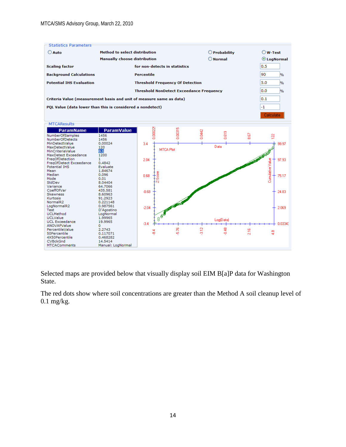| <b>Statistics Parameters</b>                                        |                                      |                                                 |                  |               |               |     |                    |               |
|---------------------------------------------------------------------|--------------------------------------|-------------------------------------------------|------------------|---------------|---------------|-----|--------------------|---------------|
| O Auto                                                              | <b>Method to select distribution</b> |                                                 |                  |               | O Probability |     | $\bigcirc$ W-Test  |               |
|                                                                     | <b>Manually choose distribution</b>  |                                                 |                  |               | $O$ Normal    |     | <b>O</b> LogNormal |               |
| <b>Scaling factor</b>                                               |                                      | for non-detects in statistics                   |                  |               |               |     | 0.5                |               |
| <b>Background Calculations</b>                                      |                                      | <b>Percentile</b>                               |                  |               |               |     | 90                 | %             |
| <b>Potential IHS Evaluation</b>                                     |                                      | <b>Threshold Frequency Of Detection</b>         |                  |               |               |     | 5.0                | $\frac{9}{6}$ |
|                                                                     |                                      | <b>Threshold NonDetect Exceedance Frequency</b> |                  |               |               |     | 0.0                | $\frac{9}{6}$ |
| Criteria Value (measurement basis and unit of measure same as data) |                                      |                                                 |                  |               |               |     | 0.1                |               |
| PQL Value (data lower than this is considered a nondetect)          |                                      |                                                 |                  |               |               |     | $-1$               |               |
|                                                                     |                                      |                                                 |                  |               |               |     | Calculate          |               |
| <b>MTCAResults</b>                                                  |                                      |                                                 |                  |               |               |     |                    |               |
| <b>ParamName</b>                                                    | <b>ParamValue</b>                    |                                                 |                  |               |               |     |                    |               |
| NumberOfSamples                                                     | 1456                                 | 0.00022                                         | ,00315           | 0442          | 69            | Ø   |                    |               |
| NumberOfDetects                                                     | 1456                                 |                                                 | d                | d             | õ             | œ   | 122                |               |
| MinDetectValue                                                      | 0.00024                              | 3.4                                             |                  |               |               |     | 99.97              |               |
| MaxDetectValue                                                      | 120                                  |                                                 |                  |               | Data          |     |                    |               |
| MinCriteriaValue                                                    | 0.1                                  |                                                 | <b>MTCA Plot</b> |               |               |     |                    |               |
| MaxDetect Exceedance                                                | 1200                                 |                                                 |                  |               |               |     |                    |               |
| FreqOfDetection                                                     | 1                                    | 2.04                                            |                  |               |               |     | 97.93              |               |
| FreqOfDetect Exceedance                                             | 0.4842                               |                                                 |                  |               |               |     |                    |               |
| <b>Potential IHS</b>                                                | Evaluate                             |                                                 |                  |               |               |     |                    |               |
| Mean                                                                | 1.84674                              |                                                 |                  |               |               |     |                    |               |
| Median                                                              | 0.096                                | 0.68                                            |                  |               |               |     |                    | 75.17         |
| Mode                                                                | 0.01                                 | Ş,                                              |                  |               |               |     | Cunulative Value   |               |
| StdDev                                                              | 8.04404                              |                                                 |                  |               |               |     |                    |               |
| Variance                                                            | 64.7066                              |                                                 |                  |               |               |     |                    |               |
| CoeffOfVar                                                          | 435.581                              | $-0.68$                                         |                  |               |               |     | 24.83              |               |
| Skewness                                                            | 8.60963                              |                                                 |                  |               |               |     |                    |               |
| Kurtosis                                                            | 91.2923                              |                                                 |                  |               |               |     |                    |               |
| NormalR2                                                            | 0.221148                             |                                                 |                  |               |               |     |                    |               |
| LogNormalR2                                                         | 0.987561                             | $-2.04$                                         |                  |               |               |     | 2.069              |               |
| Test                                                                | D'Agostino                           |                                                 |                  |               |               |     |                    |               |
| <b>UCLMethod</b>                                                    | LogNormal                            |                                                 |                  |               |               |     |                    |               |
| <b>UCLValue</b>                                                     | 1.99965                              | 888                                             |                  |               | Log[Data]     |     |                    |               |
| <b>UCL Exceedance</b>                                               | 19.9965                              | $-3.4$                                          |                  |               |               |     |                    | 0.03343       |
| ANOVAPValue                                                         | 0                                    |                                                 |                  |               |               |     |                    |               |
| PercentileValue                                                     | 2.2743                               | ್ಲಿ                                             | 576              | $\frac{2}{3}$ | 0.48          | 216 | $\frac{8}{4}$      |               |
| 50Percentile<br>4X50Percentile                                      | 0.117071                             |                                                 |                  |               |               |     |                    |               |
| <b>CVBckGnd</b>                                                     | 0.468282<br>14.5414                  |                                                 |                  |               |               |     |                    |               |
| <b>MTCAComments</b>                                                 | Manual: LogNormal                    |                                                 |                  |               |               |     |                    |               |
|                                                                     |                                      |                                                 |                  |               |               |     |                    |               |

Selected maps are provided below that visually display soil EIM B[a]P data for Washington State.

The red dots show where soil concentrations are greater than the Method A soil cleanup level of 0.1 mg/kg.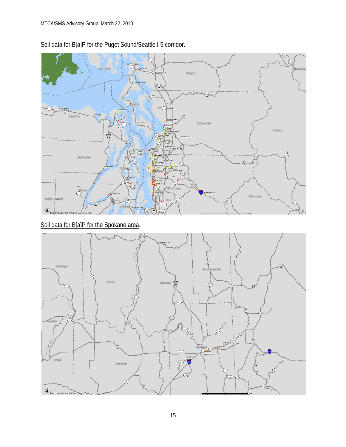

Soil data for B[a]P for the Puget Sound/Seattle I-5 corridor.

Soil data for B[a]P for the Spokane area.

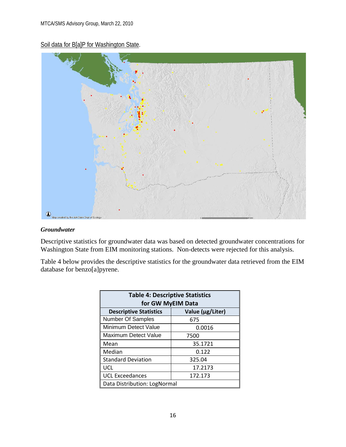# Soil data for B[a]P for Washington State.



### *Groundwater*

Descriptive statistics for groundwater data was based on detected groundwater concentrations for Washington State from EIM monitoring stations. Non-detects were rejected for this analysis.

Table 4 below provides the descriptive statistics for the groundwater data retrieved from the EIM database for benzo[a]pyrene.

| <b>Table 4: Descriptive Statistics</b><br>for GW MyEIM Data |         |  |  |  |  |
|-------------------------------------------------------------|---------|--|--|--|--|
| <b>Descriptive Statistics</b><br>Value (µg/Liter)           |         |  |  |  |  |
| Number Of Samples                                           | 675     |  |  |  |  |
| Minimum Detect Value                                        | 0.0016  |  |  |  |  |
| Maximum Detect Value                                        | 7500    |  |  |  |  |
| Mean                                                        | 35.1721 |  |  |  |  |
| Median                                                      | 0.122   |  |  |  |  |
| <b>Standard Deviation</b>                                   | 325.04  |  |  |  |  |
| UCL                                                         | 17.2173 |  |  |  |  |
| <b>UCL Exceedances</b><br>172.173                           |         |  |  |  |  |
| Data Distribution: LogNormal                                |         |  |  |  |  |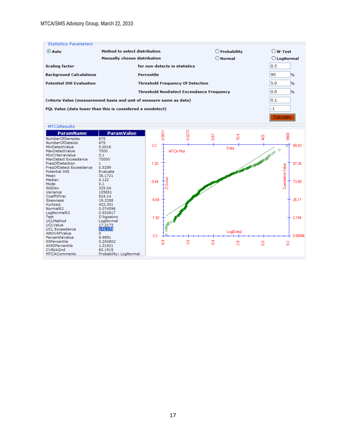| Statistics Parameters           |                                                                     |                   |                      |
|---------------------------------|---------------------------------------------------------------------|-------------------|----------------------|
| <b>O</b> Auto                   | Method to select distribution                                       | O Probability     | $\bigcirc$ W-Test    |
|                                 | <b>Manually choose distribution</b>                                 | $\bigcirc$ Normal | C LogNormal          |
| <b>Scaling factor</b>           | for non-detects in statistics                                       |                   | 0.5                  |
| <b>Background Calculations</b>  | Percentile                                                          |                   | 90<br>$\frac{9}{6}$  |
| <b>Potential IHS Evaluation</b> | <b>Threshold Frequency Of Detection</b>                             |                   | 5.0<br>$\%$          |
|                                 | <b>Threshold NonDetect Exceedance Frequency</b>                     |                   | 0.0<br>$\frac{9}{6}$ |
|                                 | Criteria Value (measurement basis and unit of measure same as data) |                   | 0.1                  |
|                                 | PQL Value (data lower than this is considered a nondetect)          |                   | -1                   |
|                                 |                                                                     |                   | Calculate            |

| <b>MTCAResults</b>       |                        |         |                  |        |      |                |                                  |                  |         |
|--------------------------|------------------------|---------|------------------|--------|------|----------------|----------------------------------|------------------|---------|
| <b>ParamName</b>         | <b>ParamValue</b>      |         |                  |        |      |                |                                  |                  |         |
| NumberOfSamples          | 675                    |         | 0.0011           | 0.0273 | 0.67 | 16.4           | g                                | 8                |         |
| <b>NumberOfDetects</b>   | 675                    |         |                  |        |      |                |                                  |                  |         |
| MinDetectValue           | 0.0016                 | 3.2     |                  |        |      | Data           |                                  | তা               | 99.93   |
| MaxDetectValue           | 7500                   |         | <b>MTCA Plot</b> |        |      |                |                                  | $\circ$          |         |
| MinCriteriaValue         | 0.1                    |         |                  |        |      |                | EXTREMELTED BY ONE OF CALIFORNIA |                  |         |
| MaxDetect Exceedance     | 75000                  |         |                  |        |      |                |                                  |                  |         |
| FreqOfDetection          |                        | 1.92    |                  |        |      |                |                                  |                  | 97.26   |
| FreqOfDetect Exceedance  | 0.5289                 |         |                  |        |      |                |                                  |                  |         |
| Potential IHS            | Evaluate               |         |                  |        |      |                |                                  |                  |         |
| Mean                     | 35.1721                |         |                  |        |      |                |                                  |                  |         |
| Median                   | 0.122                  | 0.64    | ĝ                |        |      |                |                                  |                  | 73.89   |
| Mode                     | 0.1                    |         | Ō,               |        |      |                |                                  | Cumulative Value |         |
| StdDev                   | 325.04                 |         |                  |        |      |                |                                  |                  |         |
| Variance                 | 105651                 |         |                  |        |      |                |                                  |                  |         |
| CoeffOfVar               | 924.14                 |         |                  |        |      |                |                                  |                  |         |
| <b>Skewness</b>          | 19.2358                | $-0.64$ |                  |        |      |                |                                  |                  | 26.11   |
| Kurtosis                 | 422.301                |         |                  |        |      |                |                                  |                  |         |
| NormalR2                 | 0.074596               |         |                  |        |      |                |                                  |                  |         |
| LogNormalR2              | 0.932917               |         |                  |        |      |                |                                  |                  |         |
| Test<br><b>UCLMethod</b> | D'Agostino             | $-1.92$ |                  |        |      |                |                                  |                  | 2.744   |
| UCLValue                 | LogNormal<br>17.2173   |         |                  |        |      |                |                                  |                  |         |
| <b>UCL Exceedance</b>    | 172.173                |         |                  |        |      |                |                                  |                  |         |
| ANOVAPValue              | 0                      |         |                  |        |      | Log(Data)      |                                  |                  |         |
| PercentileValue          | 9.9891                 | $-3.2$  |                  |        |      |                |                                  |                  | 0.06846 |
| 50Percentile             | 0.254802               |         |                  |        |      |                |                                  |                  |         |
| 4X50Percentile           | 1.01921                |         | ္တိ              | န္တ    | Ğ    | $\frac{8}{24}$ | 8                                | ္တ               |         |
| <b>CVBckGnd</b>          | 60.1919                |         |                  |        |      |                |                                  |                  |         |
| <b>MTCAComments</b>      | Probability: LogNormal |         |                  |        |      |                |                                  |                  |         |
|                          |                        |         |                  |        |      |                |                                  |                  |         |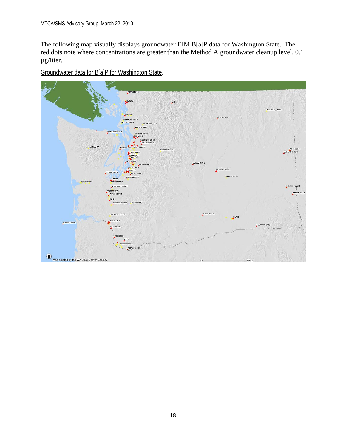The following map visually displays groundwater EIM B[a]P data for Washington State. The red dots note where concentrations are greater than the Method A groundwater cleanup level, 0.1 µg/liter.

Groundwater data for B[a]P for Washington State.

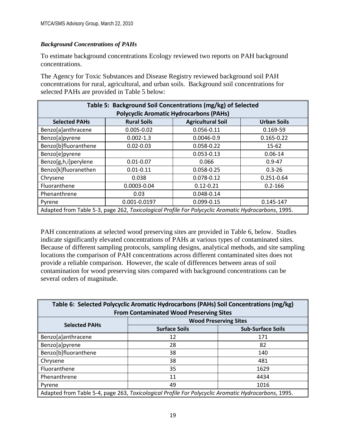## *Background Concentrations of PAHs*

To estimate background concentrations Ecology reviewed two reports on PAH background concentrations.

The Agency for Toxic Substances and Disease Registry reviewed background soil PAH concentrations for rural, agricultural, and urban soils. Background soil concentrations for selected PAHs are provided in Table 5 below:

| Table 5: Background Soil Concentrations (mg/kg) of Selected |                                                                                                     |                |                |  |  |  |
|-------------------------------------------------------------|-----------------------------------------------------------------------------------------------------|----------------|----------------|--|--|--|
|                                                             | <b>Polycyclic Aromatic Hydrocarbons (PAHs)</b>                                                      |                |                |  |  |  |
| <b>Selected PAHs</b>                                        | <b>Agricultural Soil</b><br><b>Urban Soils</b><br><b>Rural Soils</b>                                |                |                |  |  |  |
| Benzo[a]anthracene                                          | $0.005 - 0.02$                                                                                      | 0.056-0.11     | 0.169-59       |  |  |  |
| Benzo[a]pyrene                                              | $0.002 - 1.3$                                                                                       | $0.0046 - 0.9$ | $0.165 - 0.22$ |  |  |  |
| Benzo[b]fluoranthene                                        | $0.02 - 0.03$                                                                                       | 0.058-0.22     | $15 - 62$      |  |  |  |
| Benzo[e]pyrene                                              |                                                                                                     | $0.053 - 0.13$ | $0.06 - 14$    |  |  |  |
| Benzo[g,h,i]perylene                                        | $0.01 - 0.07$                                                                                       | 0.066          | $0.9 - 47$     |  |  |  |
| Benzo[k]fluoranethen                                        | $0.01 - 0.11$                                                                                       | 0.058-0.25     | $0.3 - 26$     |  |  |  |
| Chrysene                                                    | 0.038                                                                                               | 0.078-0.12     | $0.251 - 0.64$ |  |  |  |
| Fluoranthene                                                | $0.12 - 0.21$<br>0.0003-0.04<br>$0.2 - 166$                                                         |                |                |  |  |  |
| Phenanthrene                                                | 0.03                                                                                                | 0.048-0.14     |                |  |  |  |
| 0.001-0.0197<br>0.099-0.15<br>0.145-147<br>Pyrene           |                                                                                                     |                |                |  |  |  |
|                                                             | Adapted from Table 5-3, page 262, Toxicological Profile For Polycyclic Aromatic Hydrocarbons, 1995. |                |                |  |  |  |

PAH concentrations at selected wood preserving sites are provided in Table 6, below. Studies indicate significantly elevated concentrations of PAHs at various types of contaminated sites. Because of different sampling protocols, sampling designs, analytical methods, and site sampling locations the comparison of PAH concentrations across different contaminated sites does not provide a reliable comparison. However, the scale of differences between areas of soil contamination for wood preserving sites compared with background concentrations can be several orders of magnitude.

| Table 6: Selected Polycyclic Aromatic Hydrocarbons (PAHs) Soil Concentrations (mg/kg)<br><b>From Contaminated Wood Preserving Sites</b> |                              |                          |  |  |  |  |
|-----------------------------------------------------------------------------------------------------------------------------------------|------------------------------|--------------------------|--|--|--|--|
|                                                                                                                                         |                              |                          |  |  |  |  |
| <b>Selected PAHs</b>                                                                                                                    | <b>Wood Preserving Sites</b> |                          |  |  |  |  |
|                                                                                                                                         | <b>Surface Soils</b>         | <b>Sub-Surface Soils</b> |  |  |  |  |
| Benzo[a]anthracene                                                                                                                      | 12                           | 171                      |  |  |  |  |
| Benzo[a]pyrene                                                                                                                          | 28                           | 82                       |  |  |  |  |
| Benzo[b]fluoranthene                                                                                                                    | 38                           | 140                      |  |  |  |  |
| Chrysene                                                                                                                                | 38                           | 481                      |  |  |  |  |
| Fluoranthene                                                                                                                            | 35                           | 1629                     |  |  |  |  |
| Phenanthrene                                                                                                                            | 11                           | 4434                     |  |  |  |  |
| Pyrene                                                                                                                                  | 49<br>1016                   |                          |  |  |  |  |
| Adapted from Table 5-4, page 263, Toxicological Profile For Polycyclic Aromatic Hydrocarbons, 1995.                                     |                              |                          |  |  |  |  |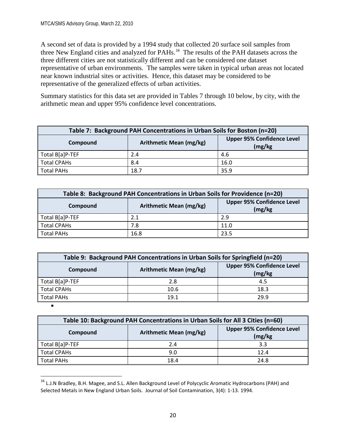A second set of data is provided by a 1994 study that collected 20 surface soil samples from three New England cities and analyzed for PAHs.<sup>[16](#page-34-0)</sup> The results of the PAH datasets across the three different cities are not statistically different and can be considered one dataset representative of urban environments. The samples were taken in typical urban areas not located near known industrial sites or activities. Hence, this dataset may be considered to be representative of the generalized effects of urban activities.

Summary statistics for this data set are provided in Tables 7 through 10 below, by city, with the arithmetic mean and upper 95% confidence level concentrations.

| Table 7: Background PAH Concentrations in Urban Soils for Boston (n=20) |                         |                                              |  |  |  |
|-------------------------------------------------------------------------|-------------------------|----------------------------------------------|--|--|--|
| Compound                                                                | Arithmetic Mean (mg/kg) | <b>Upper 95% Confidence Level</b><br>(mg/kg) |  |  |  |
| Total B[a]P-TEF                                                         | 2.4                     | 4.6                                          |  |  |  |
| Total CPAHs                                                             | 8.4                     | 16.0                                         |  |  |  |
| Total PAHs                                                              | 18.7                    | 35.9                                         |  |  |  |

| Table 8: Background PAH Concentrations in Urban Soils for Providence (n=20) |                                                                         |      |  |  |  |  |
|-----------------------------------------------------------------------------|-------------------------------------------------------------------------|------|--|--|--|--|
| Compound                                                                    | <b>Upper 95% Confidence Level</b><br>Arithmetic Mean (mg/kg)<br>(mg/kg) |      |  |  |  |  |
| Total B[a]P-TEF                                                             | 2.1                                                                     | 2.9  |  |  |  |  |
| <b>Total CPAHs</b>                                                          | 7.8                                                                     | 11.0 |  |  |  |  |
| <b>Total PAHs</b>                                                           | 16.8                                                                    | 23.5 |  |  |  |  |

| Table 9: Background PAH Concentrations in Urban Soils for Springfield (n=20)        |      |      |  |  |  |  |
|-------------------------------------------------------------------------------------|------|------|--|--|--|--|
| <b>Upper 95% Confidence Level</b><br>Arithmetic Mean (mg/kg)<br>Compound<br>(mg/kg) |      |      |  |  |  |  |
| Total B[a]P-TEF                                                                     | 2.8  | 4.5  |  |  |  |  |
| <b>Total CPAHs</b>                                                                  | 10.6 | 18.3 |  |  |  |  |
| <b>Total PAHs</b>                                                                   | 19.1 | 29.9 |  |  |  |  |

 $\blacksquare$ 

| Table 10: Background PAH Concentrations in Urban Soils for All 3 Cities (n=60) |                                              |      |  |  |  |  |  |  |
|--------------------------------------------------------------------------------|----------------------------------------------|------|--|--|--|--|--|--|
| Compound                                                                       | <b>Upper 95% Confidence Level</b><br>(mg/kg) |      |  |  |  |  |  |  |
| Total B[a]P-TEF                                                                | 2.4                                          | 3.3  |  |  |  |  |  |  |
| <b>Total CPAHs</b>                                                             | 9.0                                          | 12.4 |  |  |  |  |  |  |
| <b>Total PAHs</b>                                                              | 18.4                                         | 24.8 |  |  |  |  |  |  |

<span id="page-34-0"></span><sup>&</sup>lt;sup>16</sup> L.J.N Bradley, B.H. Magee, and S.L. Allen Background Level of Polycyclic Aromatic Hydrocarbons (PAH) and Selected Metals in New England Urban Soils. Journal of Soil Contamination, 3(4): 1-13. 1994.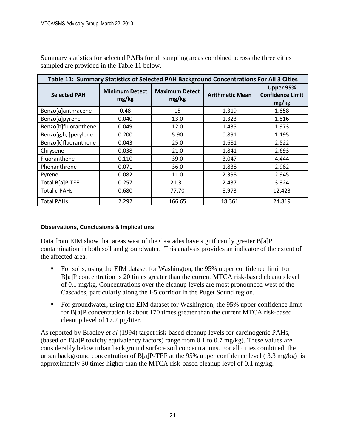Summary statistics for selected PAHs for all sampling areas combined across the three cities sampled are provided in the Table 11 below.

| Table 11: Summary Statistics of Selected PAH Background Concentrations For All 3 Cities |                                |                                |                        |                                               |  |  |  |  |  |
|-----------------------------------------------------------------------------------------|--------------------------------|--------------------------------|------------------------|-----------------------------------------------|--|--|--|--|--|
| <b>Selected PAH</b>                                                                     | <b>Minimum Detect</b><br>mg/kg | <b>Maximum Detect</b><br>mg/kg | <b>Arithmetic Mean</b> | Upper 95%<br><b>Confidence Limit</b><br>mg/kg |  |  |  |  |  |
| Benzo[a]anthracene                                                                      | 0.48                           | 15                             | 1.319                  | 1.858                                         |  |  |  |  |  |
| Benzo[a]pyrene                                                                          | 0.040                          | 13.0                           | 1.323                  | 1.816                                         |  |  |  |  |  |
| Benzo[b]fluoranthene                                                                    | 0.049                          | 12.0                           | 1.435                  | 1.973                                         |  |  |  |  |  |
| Benzo[g,h,i]perylene                                                                    | 0.200                          | 5.90                           | 0.891                  | 1.195                                         |  |  |  |  |  |
| Benzo[k]fluoranthene                                                                    | 0.043                          | 25.0                           | 1.681                  | 2.522                                         |  |  |  |  |  |
| Chrysene                                                                                | 0.038                          | 21.0                           | 1.841                  | 2.693                                         |  |  |  |  |  |
| Fluoranthene                                                                            | 0.110                          | 39.0                           | 3.047                  | 4.444                                         |  |  |  |  |  |
| Phenanthrene                                                                            | 0.071                          | 36.0                           | 1.838                  | 2.982                                         |  |  |  |  |  |
| Pyrene                                                                                  | 0.082                          | 11.0                           | 2.398                  | 2.945                                         |  |  |  |  |  |
| Total B[a]P-TEF                                                                         | 0.257                          | 21.31                          | 2.437                  | 3.324                                         |  |  |  |  |  |
| Total c-PAHs                                                                            | 0.680                          | 77.70                          | 8.973                  | 12.423                                        |  |  |  |  |  |
| <b>Total PAHs</b>                                                                       | 2.292                          | 166.65                         | 18.361                 | 24.819                                        |  |  |  |  |  |

### <span id="page-35-0"></span>**Observations, Conclusions & Implications**

Data from EIM show that areas west of the Cascades have significantly greater B[a]P contamination in both soil and groundwater. This analysis provides an indicator of the extent of the affected area.

- For soils, using the EIM dataset for Washington, the 95% upper confidence limit for B[a]P concentration is 20 times greater than the current MTCA risk-based cleanup level of 0.1 mg/kg. Concentrations over the cleanup levels are most pronounced west of the Cascades, particularly along the I-5 corridor in the Puget Sound region.
- For groundwater, using the EIM dataset for Washington, the 95% upper confidence limit for B[a]P concentration is about 170 times greater than the current MTCA risk-based cleanup level of 17.2 µg/liter.

As reported by Bradley *et al* (1994) target risk-based cleanup levels for carcinogenic PAHs, (based on B[a]P toxicity equivalency factors) range from 0.1 to 0.7 mg/kg). These values are considerably below urban background surface soil concentrations. For all cities combined, the urban background concentration of  $B[a]P-TEF$  at the 95% upper confidence level (3.3 mg/kg) is approximately 30 times higher than the MTCA risk-based cleanup level of 0.1 mg/kg.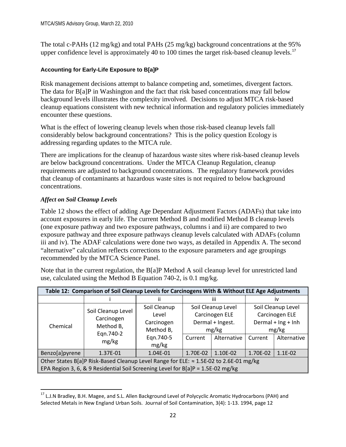The total c-PAHs (12 mg/kg) and total PAHs (25 mg/kg) background concentrations at the 95% upper confidence level is approximately 40 to 100 times the target risk-based cleanup levels.<sup>[17](#page-36-1)</sup>

## <span id="page-36-0"></span>**Accounting for Early-Life Exposure to B[a]P**

Risk management decisions attempt to balance competing and, sometimes, divergent factors. The data for B[a]P in Washington and the fact that risk based concentrations may fall below background levels illustrates the complexity involved. Decisions to adjust MTCA risk-based cleanup equations consistent with new technical information and regulatory policies immediately encounter these questions.

What is the effect of lowering cleanup levels when those risk-based cleanup levels fall considerably below background concentrations? This is the policy question Ecology is addressing regarding updates to the MTCA rule.

There are implications for the cleanup of hazardous waste sites where risk-based cleanup levels are below background concentrations. Under the MTCA Cleanup Regulation, cleanup requirements are adjusted to background concentrations. The regulatory framework provides that cleanup of contaminants at hazardous waste sites is not required to below background concentrations.

## *Affect on Soil Cleanup Levels*

Table 12 shows the effect of adding Age Dependant Adjustment Factors (ADAFs) that take into account exposures in early life. The current Method B and modified Method B cleanup levels (one exposure pathway and two exposure pathways, columns i and ii) are compared to two exposure pathway and three exposure pathways cleanup levels calculated with ADAFs (column iii and iv). The ADAF calculations were done two ways, as detailed in Appendix A. The second "alternative" calculation reflects corrections to the exposure parameters and age groupings recommended by the MTCA Science Panel.

| Table 12: Comparison of Soil Cleanup Levels for Carcinogens With & Without ELE Age Adjustments |                                                                     |              |                    |                  |                            |             |  |  |  |
|------------------------------------------------------------------------------------------------|---------------------------------------------------------------------|--------------|--------------------|------------------|----------------------------|-------------|--|--|--|
|                                                                                                |                                                                     | ÎΪ<br>н      |                    | IV               |                            |             |  |  |  |
|                                                                                                |                                                                     | Soil Cleanup | Soil Cleanup Level |                  | Soil Cleanup Level         |             |  |  |  |
|                                                                                                | Soil Cleanup Level<br>Carcinogen<br>Method B,<br>Eqn.740-2<br>mg/kg | Level        | Carcinogen ELE     |                  | Carcinogen ELE             |             |  |  |  |
| Chemical                                                                                       |                                                                     | Carcinogen   |                    | Dermal + Ingest. | Dermal + $\ln g$ + $\ln h$ |             |  |  |  |
|                                                                                                |                                                                     | Method B,    | mg/kg              |                  | mg/kg                      |             |  |  |  |
|                                                                                                |                                                                     | Eqn.740-5    | Current            | Alternative      | Current                    | Alternative |  |  |  |
|                                                                                                |                                                                     | mg/kg        |                    |                  |                            |             |  |  |  |
| Benzo[a]pyrene                                                                                 | 1.37E-01                                                            | 1.04E-01     | 1.70E-02           | 1.10E-02         | 1.70E-02                   | 1.1E-02     |  |  |  |
| Other States B[a]P Risk-Based Cleanup Level Range for ELE: ≈ 1.5E-02 to 2.6E-01 mg/kg          |                                                                     |              |                    |                  |                            |             |  |  |  |
| EPA Region 3, 6, & 9 Residential Soil Screening Level for $B[a]P = 1.5E-02$ mg/kg              |                                                                     |              |                    |                  |                            |             |  |  |  |

Note that in the current regulation, the B[a]P Method A soil cleanup level for unrestricted land use, calculated using the Method B Equation 740-2, is 0.1 mg/kg.

<span id="page-36-1"></span><sup>&</sup>lt;sup>17</sup> L.J.N Bradley, B.H. Magee, and S.L. Allen Background Level of Polycyclic Aromatic Hydrocarbons (PAH) and Selected Metals in New England Urban Soils. Journal of Soil Contamination, 3(4): 1-13. 1994, page 12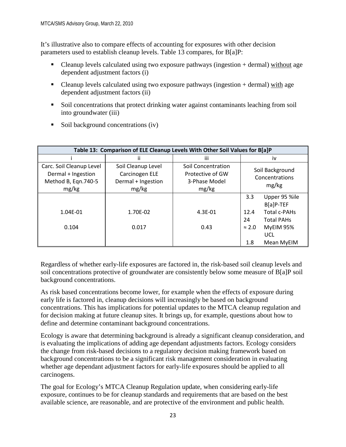It's illustrative also to compare effects of accounting for exposures with other decision parameters used to establish cleanup levels. Table 13 compares, for B[a]P:

- Cleanup levels calculated using two exposure pathways (ingestion + dermal) without age dependent adjustment factors (i)
- Cleanup levels calculated using two exposure pathways (ingestion + dermal) with age dependent adjustment factors (ii)
- Soil concentrations that protect drinking water against contaminants leaching from soil into groundwater (iii)

| Table 13: Comparison of ELE Cleanup Levels With Other Soil Values for B[a]P    |                                                                     |                                                                  |                      |                                            |  |  |  |  |  |
|--------------------------------------------------------------------------------|---------------------------------------------------------------------|------------------------------------------------------------------|----------------------|--------------------------------------------|--|--|--|--|--|
|                                                                                |                                                                     | iii                                                              |                      | İV                                         |  |  |  |  |  |
| Carc. Soil Cleanup Level<br>Dermal + Ingestion<br>Method B, Eqn.740-5<br>mg/kg | Soil Cleanup Level<br>Carcinogen ELE<br>Dermal + Ingestion<br>mg/kg | Soil Concentration<br>Protective of GW<br>3-Phase Model<br>mg/kg |                      | Soil Background<br>Concentrations<br>mg/kg |  |  |  |  |  |
|                                                                                |                                                                     |                                                                  | 3.3                  | Upper 95 %ile<br>B[a]P-TEF                 |  |  |  |  |  |
| 1.04E-01                                                                       | 1.70E-02                                                            | 4.3E-01                                                          | 12.4<br>24           | Total c-PAHs<br><b>Total PAHs</b>          |  |  |  |  |  |
| 0.104                                                                          | 0.017                                                               | 0.43                                                             | $\approx$ 2.0<br>1.8 | MyEIM 95%<br>UCL<br>Mean MyEIM             |  |  |  |  |  |

 $\blacksquare$  Soil background concentrations (iv)

Regardless of whether early-life exposures are factored in, the risk-based soil cleanup levels and soil concentrations protective of groundwater are consistently below some measure of B[a]P soil background concentrations.

As risk based concentrations become lower, for example when the effects of exposure during early life is factored in, cleanup decisions will increasingly be based on background concentrations. This has implications for potential updates to the MTCA cleanup regulation and for decision making at future cleanup sites. It brings up, for example, questions about how to define and determine contaminant background concentrations.

Ecology is aware that determining background is already a significant cleanup consideration, and is evaluating the implications of adding age dependant adjustments factors. Ecology considers the change from risk-based decisions to a regulatory decision making framework based on background concentrations to be a significant risk management consideration in evaluating whether age dependant adjustment factors for early-life exposures should be applied to all carcinogens.

The goal for Ecology's MTCA Cleanup Regulation update, when considering early-life exposure, continues to be for cleanup standards and requirements that are based on the best available science, are reasonable, and are protective of the environment and public health.